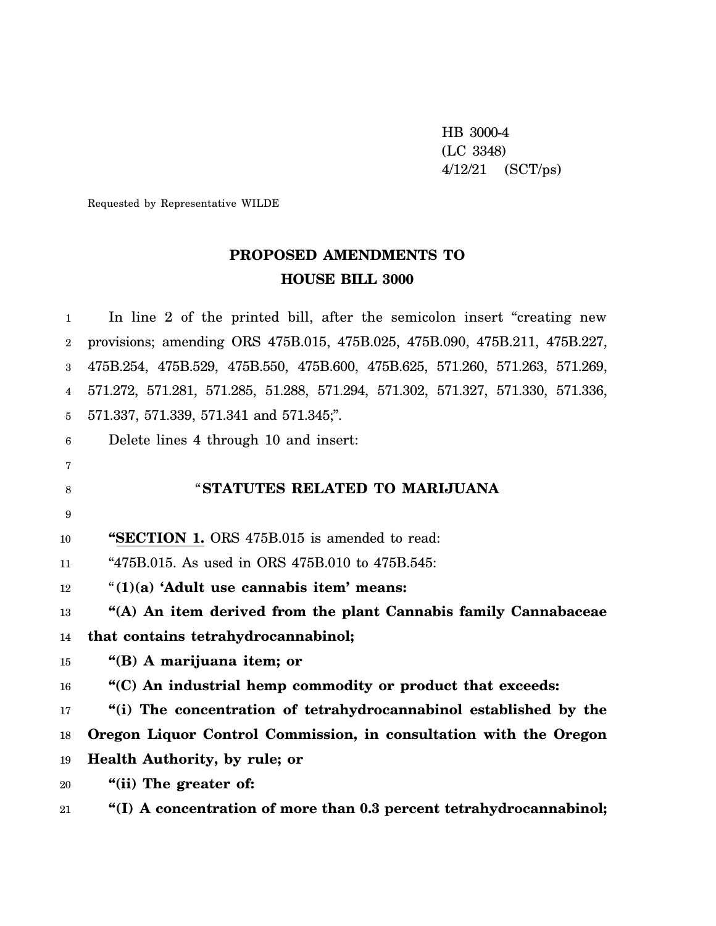HB 3000-4 (LC 3348) 4/12/21 (SCT/ps)

Requested by Representative WILDE

# **PROPOSED AMENDMENTS TO HOUSE BILL 3000**

1 2 3 4 5 6 7 8 9 10 11 12 13 14 15 16 17 18 19 20 In line 2 of the printed bill, after the semicolon insert "creating new provisions; amending ORS 475B.015, 475B.025, 475B.090, 475B.211, 475B.227, 475B.254, 475B.529, 475B.550, 475B.600, 475B.625, 571.260, 571.263, 571.269, 571.272, 571.281, 571.285, 51.288, 571.294, 571.302, 571.327, 571.330, 571.336, 571.337, 571.339, 571.341 and 571.345;". Delete lines 4 through 10 and insert: "**STATUTES RELATED TO MARIJUANA "SECTION 1.** ORS 475B.015 is amended to read: "475B.015. As used in ORS 475B.010 to 475B.545: "**(1)(a) 'Adult use cannabis item' means: "(A) An item derived from the plant Cannabis family Cannabaceae that contains tetrahydrocannabinol; "(B) A marijuana item; or "(C) An industrial hemp commodity or product that exceeds: "(i) The concentration of tetrahydrocannabinol established by the Oregon Liquor Control Commission, in consultation with the Oregon Health Authority, by rule; or "(ii) The greater of:**

21 **"(I) A concentration of more than 0.3 percent tetrahydrocannabinol;**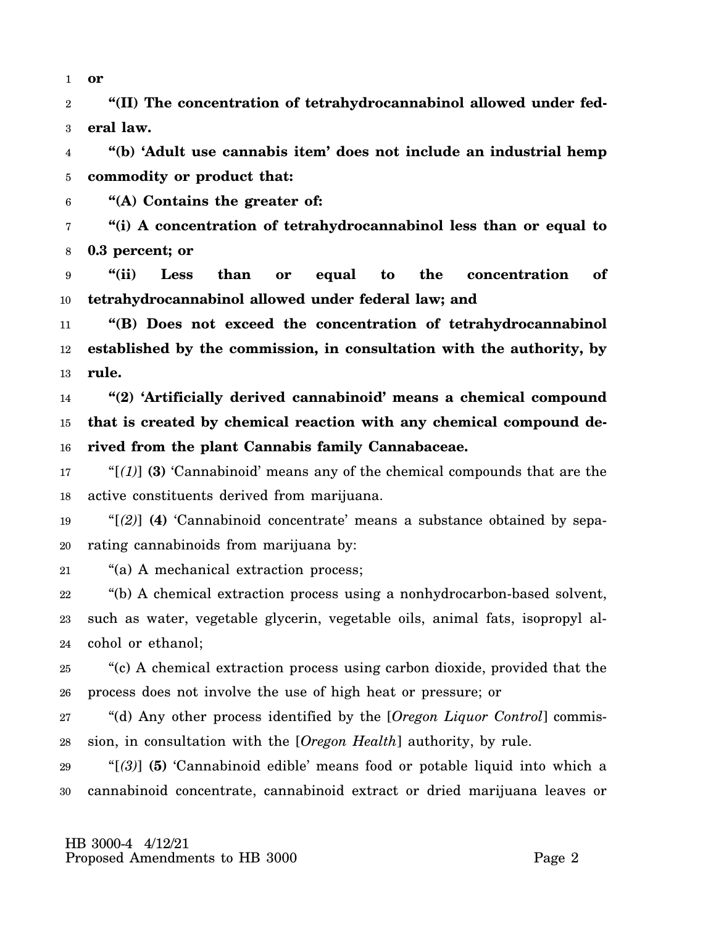1 **or**

2 3 **"(II) The concentration of tetrahydrocannabinol allowed under federal law.**

4 5 **"(b) 'Adult use cannabis item' does not include an industrial hemp commodity or product that:**

6 **"(A) Contains the greater of:**

7 8 **"(i) A concentration of tetrahydrocannabinol less than or equal to 0.3 percent; or**

9 10 **"(ii) Less than or equal to the concentration of tetrahydrocannabinol allowed under federal law; and**

11 12 13 **"(B) Does not exceed the concentration of tetrahydrocannabinol established by the commission, in consultation with the authority, by rule.**

14 15 16 **"(2) 'Artificially derived cannabinoid' means a chemical compound that is created by chemical reaction with any chemical compound derived from the plant Cannabis family Cannabaceae.**

17 18 "[*(1)*] **(3)** 'Cannabinoid' means any of the chemical compounds that are the active constituents derived from marijuana.

19 20 "[*(2)*] **(4)** 'Cannabinoid concentrate' means a substance obtained by separating cannabinoids from marijuana by:

21 "(a) A mechanical extraction process;

22 23 24 "(b) A chemical extraction process using a nonhydrocarbon-based solvent, such as water, vegetable glycerin, vegetable oils, animal fats, isopropyl alcohol or ethanol;

25 26 "(c) A chemical extraction process using carbon dioxide, provided that the process does not involve the use of high heat or pressure; or

27 28 "(d) Any other process identified by the [*Oregon Liquor Control*] commission, in consultation with the [*Oregon Health*] authority, by rule.

29 30 "[*(3)*] **(5)** 'Cannabinoid edible' means food or potable liquid into which a cannabinoid concentrate, cannabinoid extract or dried marijuana leaves or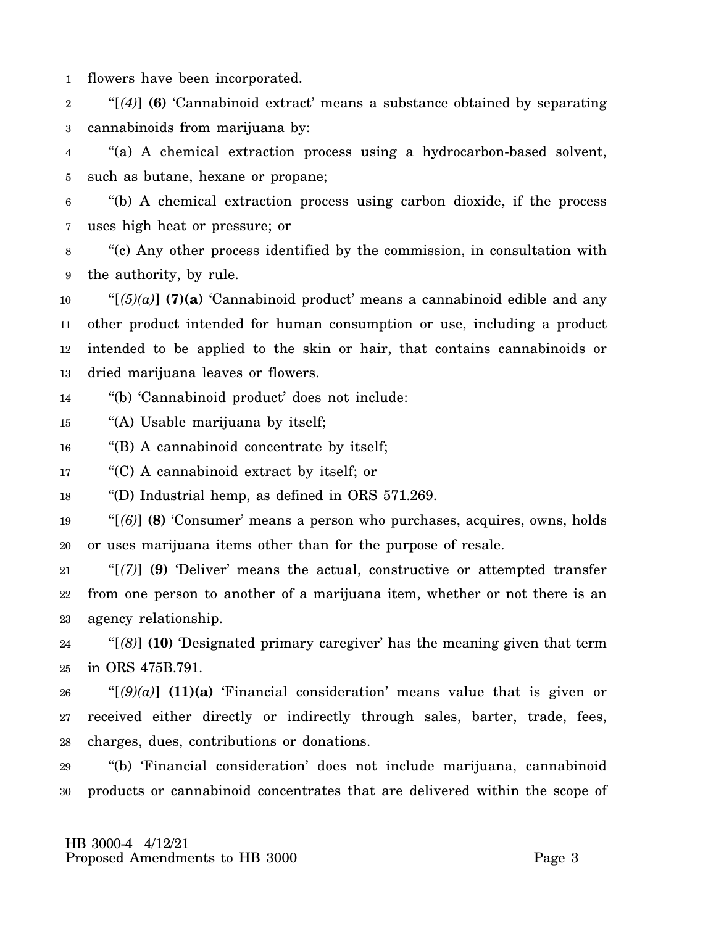1 flowers have been incorporated.

2 3 "[*(4)*] **(6)** 'Cannabinoid extract' means a substance obtained by separating cannabinoids from marijuana by:

4 5 "(a) A chemical extraction process using a hydrocarbon-based solvent, such as butane, hexane or propane;

6 7 "(b) A chemical extraction process using carbon dioxide, if the process uses high heat or pressure; or

8 9 "(c) Any other process identified by the commission, in consultation with the authority, by rule.

10 11 12 13 " $[5](5)(a)$  **(7)(a)** 'Cannabinoid product' means a cannabinoid edible and any other product intended for human consumption or use, including a product intended to be applied to the skin or hair, that contains cannabinoids or dried marijuana leaves or flowers.

14 "(b) 'Cannabinoid product' does not include:

15 "(A) Usable marijuana by itself;

16 "(B) A cannabinoid concentrate by itself;

17 "(C) A cannabinoid extract by itself; or

18 "(D) Industrial hemp, as defined in ORS 571.269.

19 20 "[*(6)*] **(8)** 'Consumer' means a person who purchases, acquires, owns, holds or uses marijuana items other than for the purpose of resale.

21 22 23 "[*(7)*] **(9)** 'Deliver' means the actual, constructive or attempted transfer from one person to another of a marijuana item, whether or not there is an agency relationship.

24 25 "[*(8)*] **(10)** 'Designated primary caregiver' has the meaning given that term in ORS 475B.791.

26 27 28 " $[(9)(a)]$  (11)(a) 'Financial consideration' means value that is given or received either directly or indirectly through sales, barter, trade, fees, charges, dues, contributions or donations.

29 30 "(b) 'Financial consideration' does not include marijuana, cannabinoid products or cannabinoid concentrates that are delivered within the scope of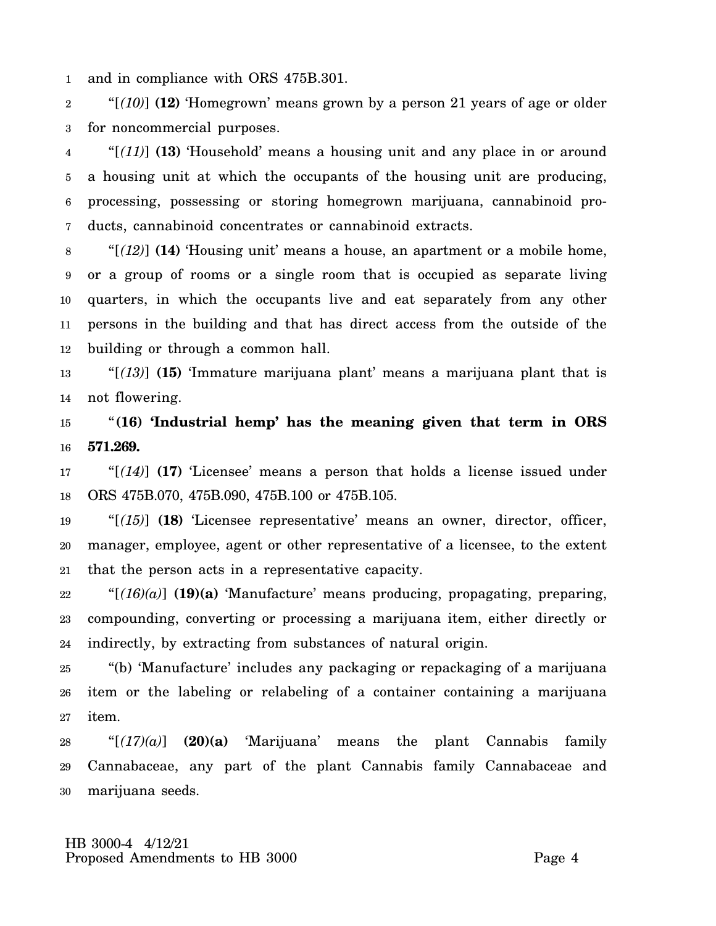1 and in compliance with ORS 475B.301.

2 3 "[*(10)*] **(12)** 'Homegrown' means grown by a person 21 years of age or older for noncommercial purposes.

4 5 6 7 "[*(11)*] **(13)** 'Household' means a housing unit and any place in or around a housing unit at which the occupants of the housing unit are producing, processing, possessing or storing homegrown marijuana, cannabinoid products, cannabinoid concentrates or cannabinoid extracts.

8 9 10 11 12 "[*(12)*] **(14)** 'Housing unit' means a house, an apartment or a mobile home, or a group of rooms or a single room that is occupied as separate living quarters, in which the occupants live and eat separately from any other persons in the building and that has direct access from the outside of the building or through a common hall.

13 14 "[*(13)*] **(15)** 'Immature marijuana plant' means a marijuana plant that is not flowering.

15 16 "**(16) 'Industrial hemp' has the meaning given that term in ORS 571.269.**

17 18 "[*(14)*] **(17)** 'Licensee' means a person that holds a license issued under ORS 475B.070, 475B.090, 475B.100 or 475B.105.

19 20 21 "[*(15)*] **(18)** 'Licensee representative' means an owner, director, officer, manager, employee, agent or other representative of a licensee, to the extent that the person acts in a representative capacity.

22 23 24 "[*(16)(a)*] **(19)(a)** 'Manufacture' means producing, propagating, preparing, compounding, converting or processing a marijuana item, either directly or indirectly, by extracting from substances of natural origin.

25 26 27 "(b) 'Manufacture' includes any packaging or repackaging of a marijuana item or the labeling or relabeling of a container containing a marijuana item.

28 29 30 "[*(17)(a)*] **(20)(a)** 'Marijuana' means the plant Cannabis family Cannabaceae, any part of the plant Cannabis family Cannabaceae and marijuana seeds.

 HB 3000-4 4/12/21 Proposed Amendments to HB 3000 Page 4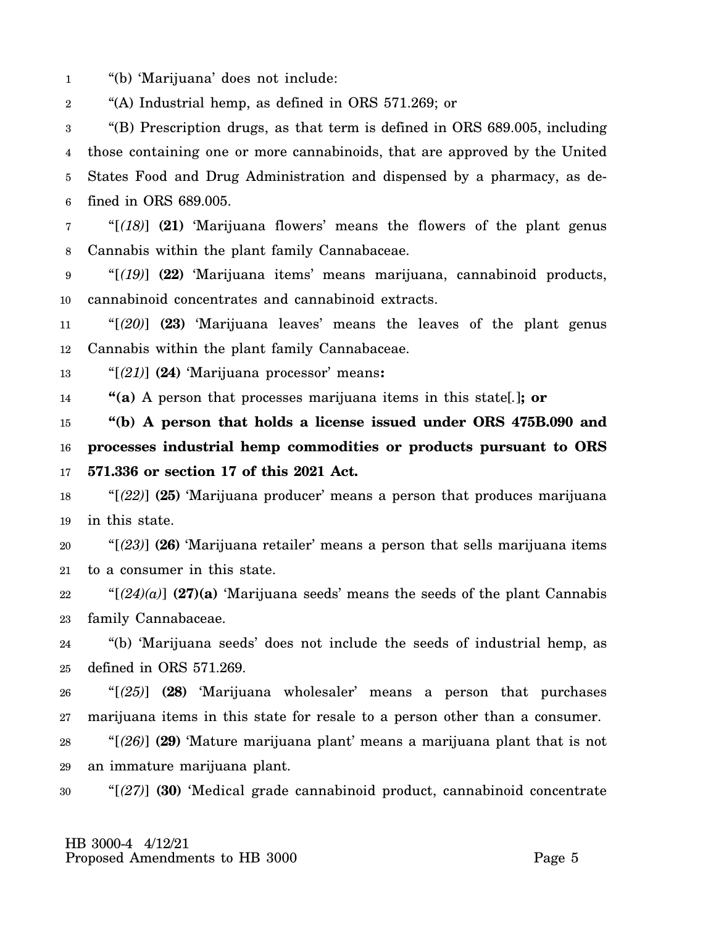1 "(b) 'Marijuana' does not include:

2 "(A) Industrial hemp, as defined in ORS 571.269; or

3 4 5 6 "(B) Prescription drugs, as that term is defined in ORS 689.005, including those containing one or more cannabinoids, that are approved by the United States Food and Drug Administration and dispensed by a pharmacy, as defined in ORS 689.005.

7 8 "[*(18)*] **(21)** 'Marijuana flowers' means the flowers of the plant genus Cannabis within the plant family Cannabaceae.

9 10 "[*(19)*] **(22)** 'Marijuana items' means marijuana, cannabinoid products, cannabinoid concentrates and cannabinoid extracts.

11 12 "[*(20)*] **(23)** 'Marijuana leaves' means the leaves of the plant genus Cannabis within the plant family Cannabaceae.

13 "[*(21)*] **(24)** 'Marijuana processor' means**:**

14 **"(a)** A person that processes marijuana items in this state[*.*]**; or**

15 16 17 **"(b) A person that holds a license issued under ORS 475B.090 and processes industrial hemp commodities or products pursuant to ORS 571.336 or section 17 of this 2021 Act.**

18 19 "[*(22)*] **(25)** 'Marijuana producer' means a person that produces marijuana in this state.

20 21 "[*(23)*] **(26)** 'Marijuana retailer' means a person that sells marijuana items to a consumer in this state.

22 23 " $(24)(a)$  (27)(a) 'Marijuana seeds' means the seeds of the plant Cannabis family Cannabaceae.

24 25 "(b) 'Marijuana seeds' does not include the seeds of industrial hemp, as defined in ORS 571.269.

26 27 "[*(25)*] **(28)** 'Marijuana wholesaler' means a person that purchases marijuana items in this state for resale to a person other than a consumer.

28 29 "[*(26)*] **(29)** 'Mature marijuana plant' means a marijuana plant that is not an immature marijuana plant.

30 "[*(27)*] **(30)** 'Medical grade cannabinoid product, cannabinoid concentrate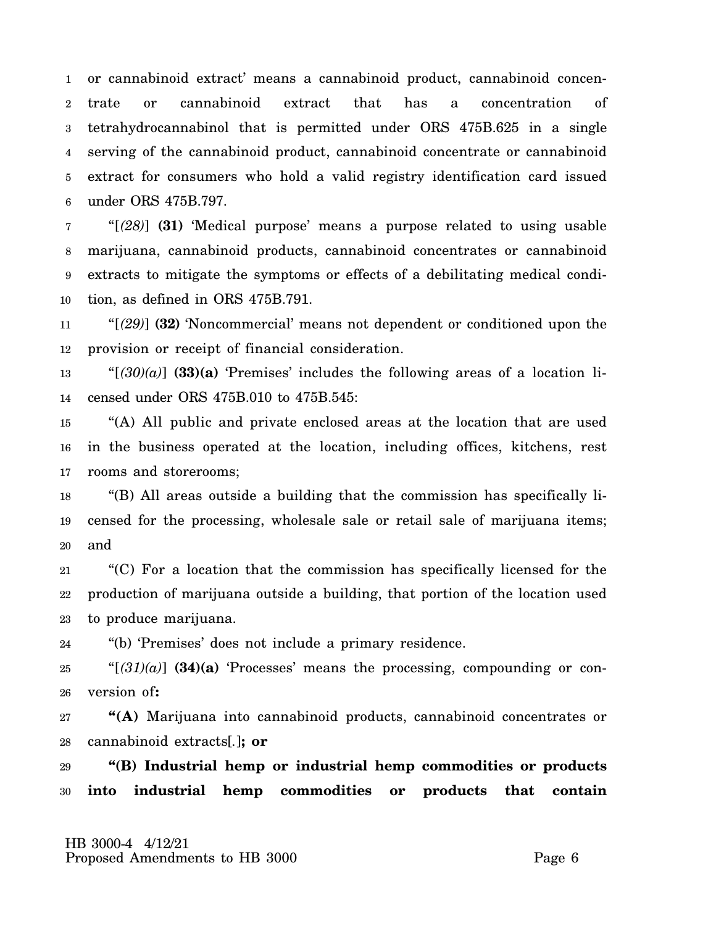1 2 3 4 5 6 or cannabinoid extract' means a cannabinoid product, cannabinoid concentrate or cannabinoid extract that has a concentration of tetrahydrocannabinol that is permitted under ORS 475B.625 in a single serving of the cannabinoid product, cannabinoid concentrate or cannabinoid extract for consumers who hold a valid registry identification card issued under ORS 475B.797.

7 8 9 10 "[*(28)*] **(31)** 'Medical purpose' means a purpose related to using usable marijuana, cannabinoid products, cannabinoid concentrates or cannabinoid extracts to mitigate the symptoms or effects of a debilitating medical condition, as defined in ORS 475B.791.

11 12 "[*(29)*] **(32)** 'Noncommercial' means not dependent or conditioned upon the provision or receipt of financial consideration.

13 14 " $[30](a)$  (33)(a) 'Premises' includes the following areas of a location licensed under ORS 475B.010 to 475B.545:

15 16 17 "(A) All public and private enclosed areas at the location that are used in the business operated at the location, including offices, kitchens, rest rooms and storerooms;

18 19 20 "(B) All areas outside a building that the commission has specifically licensed for the processing, wholesale sale or retail sale of marijuana items; and

21 22 23 "(C) For a location that the commission has specifically licensed for the production of marijuana outside a building, that portion of the location used to produce marijuana.

24 "(b) 'Premises' does not include a primary residence.

25 26 " $[(31)(a)]$  (34)(a) 'Processes' means the processing, compounding or conversion of**:**

27 28 **"(A)** Marijuana into cannabinoid products, cannabinoid concentrates or cannabinoid extracts[*.*]**; or**

29 30 **"(B) Industrial hemp or industrial hemp commodities or products into industrial hemp commodities or products that contain**

 HB 3000-4 4/12/21 Proposed Amendments to HB 3000 Page 6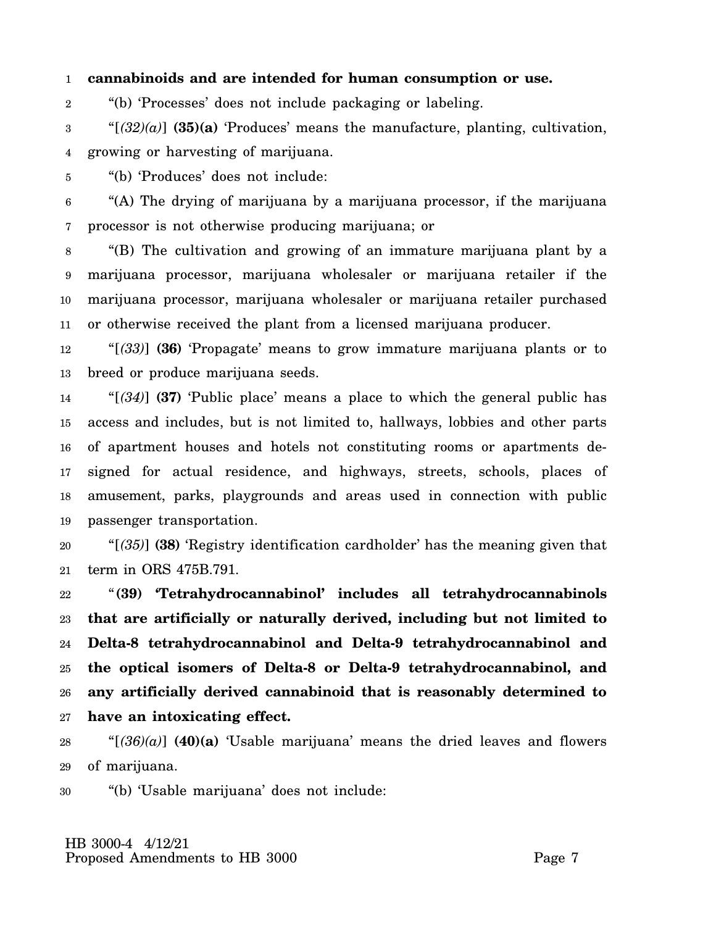#### 1 **cannabinoids and are intended for human consumption or use.**

2 "(b) 'Processes' does not include packaging or labeling.

3 4 " $[(32)(a)]$  **(35)(a)** 'Produces' means the manufacture, planting, cultivation, growing or harvesting of marijuana.

5 "(b) 'Produces' does not include:

6 7 "(A) The drying of marijuana by a marijuana processor, if the marijuana processor is not otherwise producing marijuana; or

8 9 10 11 "(B) The cultivation and growing of an immature marijuana plant by a marijuana processor, marijuana wholesaler or marijuana retailer if the marijuana processor, marijuana wholesaler or marijuana retailer purchased or otherwise received the plant from a licensed marijuana producer.

12 13 "[*(33)*] **(36)** 'Propagate' means to grow immature marijuana plants or to breed or produce marijuana seeds.

14 15 16 17 18 19 "[*(34)*] **(37)** 'Public place' means a place to which the general public has access and includes, but is not limited to, hallways, lobbies and other parts of apartment houses and hotels not constituting rooms or apartments designed for actual residence, and highways, streets, schools, places of amusement, parks, playgrounds and areas used in connection with public passenger transportation.

20 21 "[*(35)*] **(38)** 'Registry identification cardholder' has the meaning given that term in ORS 475B.791.

22 23 24 25 26 27 "**(39) 'Tetrahydrocannabinol' includes all tetrahydrocannabinols that are artificially or naturally derived, including but not limited to Delta-8 tetrahydrocannabinol and Delta-9 tetrahydrocannabinol and the optical isomers of Delta-8 or Delta-9 tetrahydrocannabinol, and any artificially derived cannabinoid that is reasonably determined to have an intoxicating effect.**

28 29 " $[(36)(a)]$  **(40)(a)** 'Usable marijuana' means the dried leaves and flowers of marijuana.

30 "(b) 'Usable marijuana' does not include: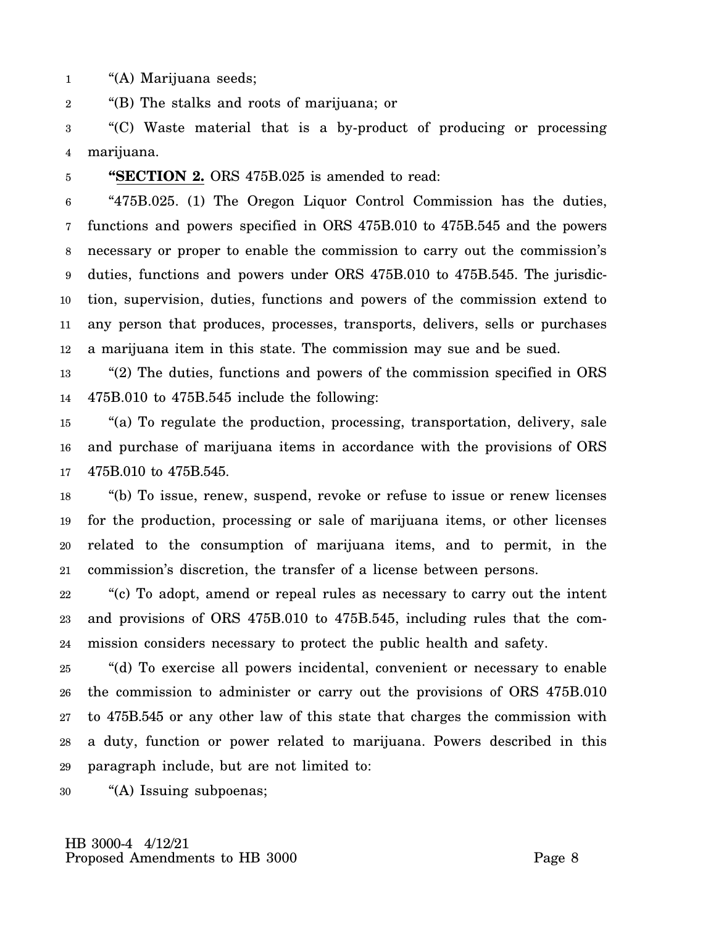1 "(A) Marijuana seeds;

2 "(B) The stalks and roots of marijuana; or

3 4 "(C) Waste material that is a by-product of producing or processing marijuana.

5

**"SECTION 2.** ORS 475B.025 is amended to read:

6 7 8 9 10 11 12 "475B.025. (1) The Oregon Liquor Control Commission has the duties, functions and powers specified in ORS 475B.010 to 475B.545 and the powers necessary or proper to enable the commission to carry out the commission's duties, functions and powers under ORS 475B.010 to 475B.545. The jurisdiction, supervision, duties, functions and powers of the commission extend to any person that produces, processes, transports, delivers, sells or purchases a marijuana item in this state. The commission may sue and be sued.

13 14 "(2) The duties, functions and powers of the commission specified in ORS 475B.010 to 475B.545 include the following:

15 16 17 "(a) To regulate the production, processing, transportation, delivery, sale and purchase of marijuana items in accordance with the provisions of ORS 475B.010 to 475B.545.

18 19 20 21 "(b) To issue, renew, suspend, revoke or refuse to issue or renew licenses for the production, processing or sale of marijuana items, or other licenses related to the consumption of marijuana items, and to permit, in the commission's discretion, the transfer of a license between persons.

22 23 24 "(c) To adopt, amend or repeal rules as necessary to carry out the intent and provisions of ORS 475B.010 to 475B.545, including rules that the commission considers necessary to protect the public health and safety.

25 26 27 28 29 "(d) To exercise all powers incidental, convenient or necessary to enable the commission to administer or carry out the provisions of ORS 475B.010 to 475B.545 or any other law of this state that charges the commission with a duty, function or power related to marijuana. Powers described in this paragraph include, but are not limited to:

30 "(A) Issuing subpoenas;

 HB 3000-4 4/12/21 Proposed Amendments to HB 3000 Page 8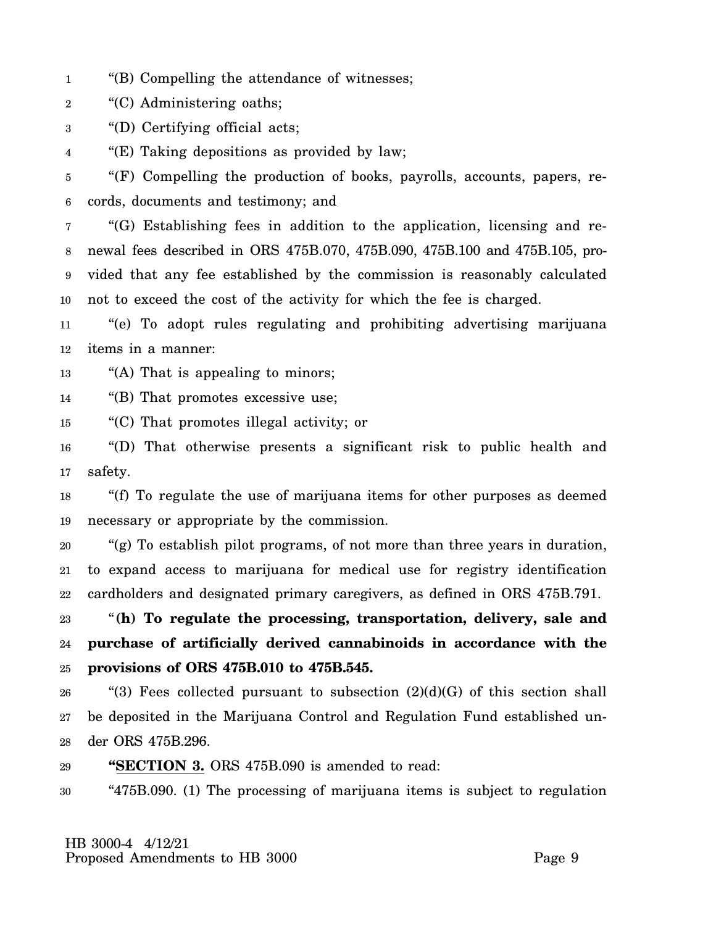- 1 "(B) Compelling the attendance of witnesses;
- 2 "(C) Administering oaths;

3 "(D) Certifying official acts;

4 "(E) Taking depositions as provided by law;

5 6 "(F) Compelling the production of books, payrolls, accounts, papers, records, documents and testimony; and

7 8 9 10 "(G) Establishing fees in addition to the application, licensing and renewal fees described in ORS 475B.070, 475B.090, 475B.100 and 475B.105, provided that any fee established by the commission is reasonably calculated not to exceed the cost of the activity for which the fee is charged.

11 12 "(e) To adopt rules regulating and prohibiting advertising marijuana items in a manner:

13 "(A) That is appealing to minors;

14 "(B) That promotes excessive use;

15 "(C) That promotes illegal activity; or

16 17 "(D) That otherwise presents a significant risk to public health and safety.

18 19 "(f) To regulate the use of marijuana items for other purposes as deemed necessary or appropriate by the commission.

20 21 22 "(g) To establish pilot programs, of not more than three years in duration, to expand access to marijuana for medical use for registry identification cardholders and designated primary caregivers, as defined in ORS 475B.791.

23 24 25 "**(h) To regulate the processing, transportation, delivery, sale and purchase of artificially derived cannabinoids in accordance with the provisions of ORS 475B.010 to 475B.545.**

26 27 28 "(3) Fees collected pursuant to subsection  $(2)(d)(G)$  of this section shall be deposited in the Marijuana Control and Regulation Fund established under ORS 475B.296.

29 **"SECTION 3.** ORS 475B.090 is amended to read:

30 "475B.090. (1) The processing of marijuana items is subject to regulation

 HB 3000-4 4/12/21 Proposed Amendments to HB 3000 Page 9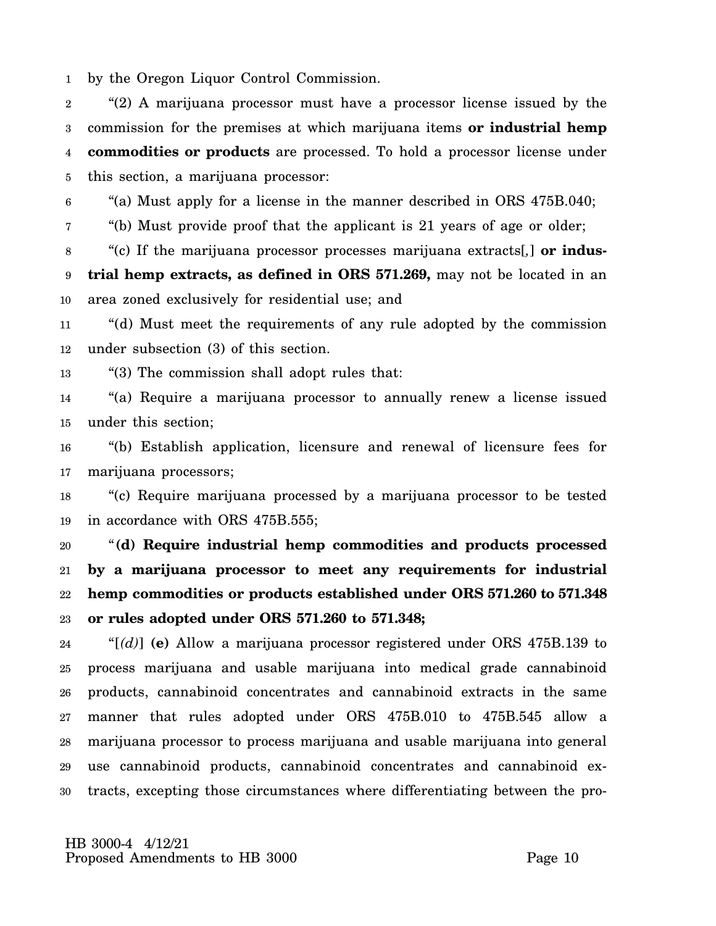1 by the Oregon Liquor Control Commission.

2 3 4 5 "(2) A marijuana processor must have a processor license issued by the commission for the premises at which marijuana items **or industrial hemp commodities or products** are processed. To hold a processor license under this section, a marijuana processor:

6 "(a) Must apply for a license in the manner described in ORS 475B.040;

7 "(b) Must provide proof that the applicant is 21 years of age or older;

8 9 10 "(c) If the marijuana processor processes marijuana extracts[*,*] **or industrial hemp extracts, as defined in ORS 571.269,** may not be located in an area zoned exclusively for residential use; and

11 12 "(d) Must meet the requirements of any rule adopted by the commission under subsection (3) of this section.

13 "(3) The commission shall adopt rules that:

14 15 "(a) Require a marijuana processor to annually renew a license issued under this section;

16 17 "(b) Establish application, licensure and renewal of licensure fees for marijuana processors;

18 19 "(c) Require marijuana processed by a marijuana processor to be tested in accordance with ORS 475B.555;

20 21 22 23 "**(d) Require industrial hemp commodities and products processed by a marijuana processor to meet any requirements for industrial hemp commodities or products established under ORS 571.260 to 571.348 or rules adopted under ORS 571.260 to 571.348;**

24 25 26 27 28 29 30 "[*(d)*] **(e)** Allow a marijuana processor registered under ORS 475B.139 to process marijuana and usable marijuana into medical grade cannabinoid products, cannabinoid concentrates and cannabinoid extracts in the same manner that rules adopted under ORS 475B.010 to 475B.545 allow a marijuana processor to process marijuana and usable marijuana into general use cannabinoid products, cannabinoid concentrates and cannabinoid extracts, excepting those circumstances where differentiating between the pro-

 HB 3000-4 4/12/21 Proposed Amendments to HB 3000 Proposed Page 10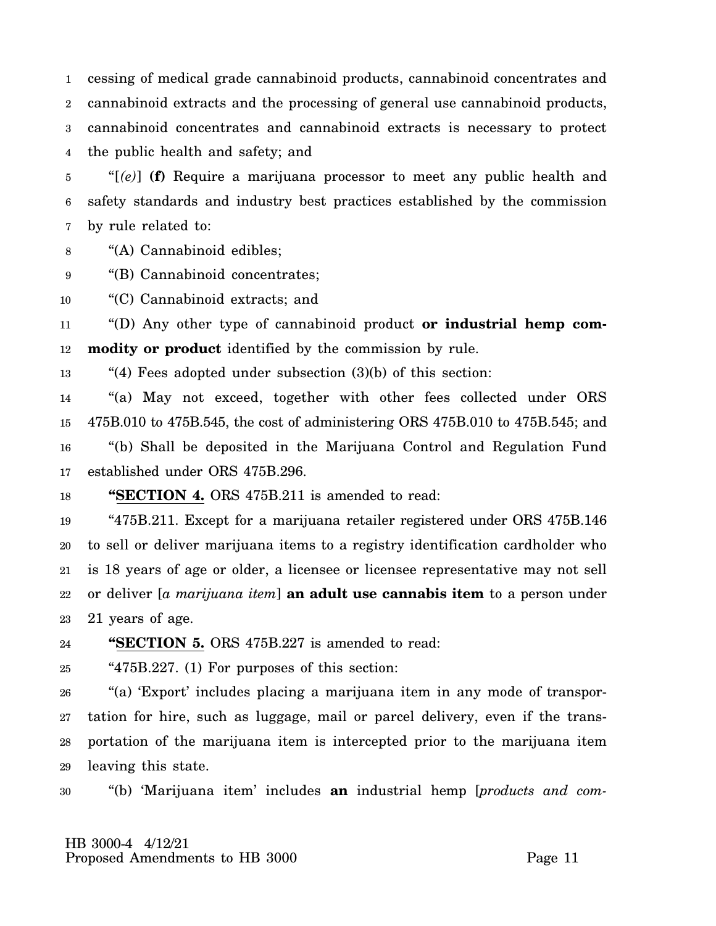1 2 3 4 cessing of medical grade cannabinoid products, cannabinoid concentrates and cannabinoid extracts and the processing of general use cannabinoid products, cannabinoid concentrates and cannabinoid extracts is necessary to protect the public health and safety; and

5 6 7 "[*(e)*] **(f)** Require a marijuana processor to meet any public health and safety standards and industry best practices established by the commission by rule related to:

8 "(A) Cannabinoid edibles;

9 "(B) Cannabinoid concentrates;

10 "(C) Cannabinoid extracts; and

11 12 "(D) Any other type of cannabinoid product **or industrial hemp commodity or product** identified by the commission by rule.

13 "(4) Fees adopted under subsection (3)(b) of this section:

14 15 16 17 "(a) May not exceed, together with other fees collected under ORS 475B.010 to 475B.545, the cost of administering ORS 475B.010 to 475B.545; and "(b) Shall be deposited in the Marijuana Control and Regulation Fund established under ORS 475B.296.

18 **"SECTION 4.** ORS 475B.211 is amended to read:

19 20 21 22 23 "475B.211. Except for a marijuana retailer registered under ORS 475B.146 to sell or deliver marijuana items to a registry identification cardholder who is 18 years of age or older, a licensee or licensee representative may not sell or deliver [*a marijuana item*] **an adult use cannabis item** to a person under 21 years of age.

24 **"SECTION 5.** ORS 475B.227 is amended to read:

25 "475B.227. (1) For purposes of this section:

26 27 28 29 "(a) 'Export' includes placing a marijuana item in any mode of transportation for hire, such as luggage, mail or parcel delivery, even if the transportation of the marijuana item is intercepted prior to the marijuana item leaving this state.

30 "(b) 'Marijuana item' includes **an** industrial hemp [*products and com-*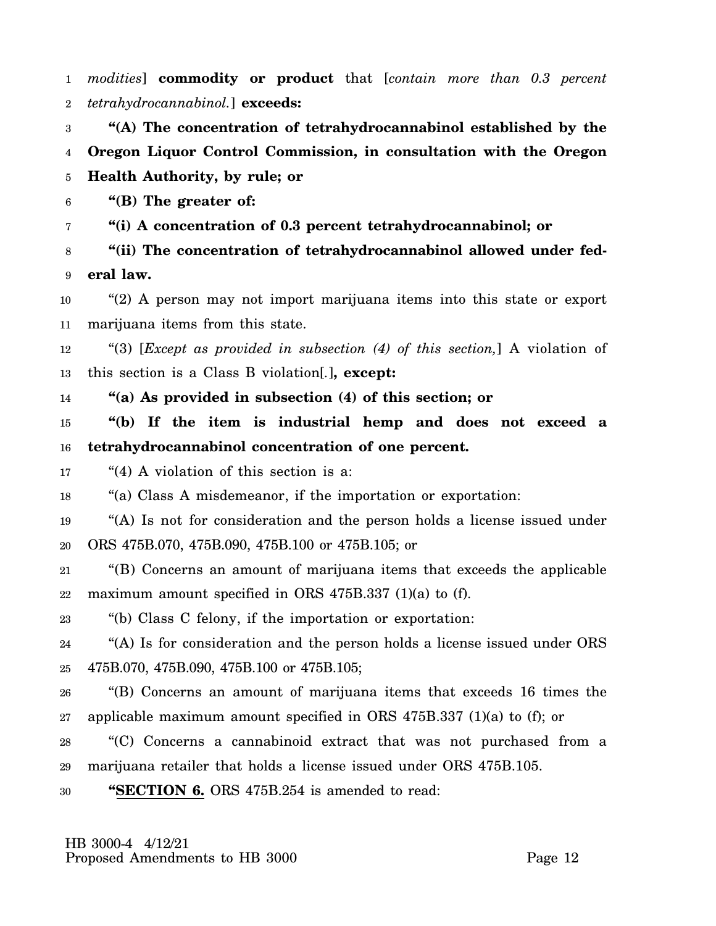1 2 *modities*] **commodity or product** that [*contain more than 0.3 percent tetrahydrocannabinol.*] **exceeds:**

3 4 5 **"(A) The concentration of tetrahydrocannabinol established by the Oregon Liquor Control Commission, in consultation with the Oregon Health Authority, by rule; or**

6 **"(B) The greater of:**

7 **"(i) A concentration of 0.3 percent tetrahydrocannabinol; or**

8 9 **"(ii) The concentration of tetrahydrocannabinol allowed under federal law.**

10 11 "(2) A person may not import marijuana items into this state or export marijuana items from this state.

12 13 "(3) [*Except as provided in subsection (4) of this section,*] A violation of this section is a Class B violation[*.*]**, except:**

14 **"(a) As provided in subsection (4) of this section; or**

15 16 **"(b) If the item is industrial hemp and does not exceed a tetrahydrocannabinol concentration of one percent.**

17 "(4) A violation of this section is a:

18 "(a) Class A misdemeanor, if the importation or exportation:

19 20 "(A) Is not for consideration and the person holds a license issued under ORS 475B.070, 475B.090, 475B.100 or 475B.105; or

21 22 "(B) Concerns an amount of marijuana items that exceeds the applicable maximum amount specified in ORS 475B.337 (1)(a) to (f).

23 "(b) Class C felony, if the importation or exportation:

24 25 "(A) Is for consideration and the person holds a license issued under ORS 475B.070, 475B.090, 475B.100 or 475B.105;

26 27 "(B) Concerns an amount of marijuana items that exceeds 16 times the applicable maximum amount specified in ORS 475B.337 (1)(a) to (f); or

28 29 "(C) Concerns a cannabinoid extract that was not purchased from a marijuana retailer that holds a license issued under ORS 475B.105.

30 **"SECTION 6.** ORS 475B.254 is amended to read:

 HB 3000-4 4/12/21 Proposed Amendments to HB 3000 Proposed Page 12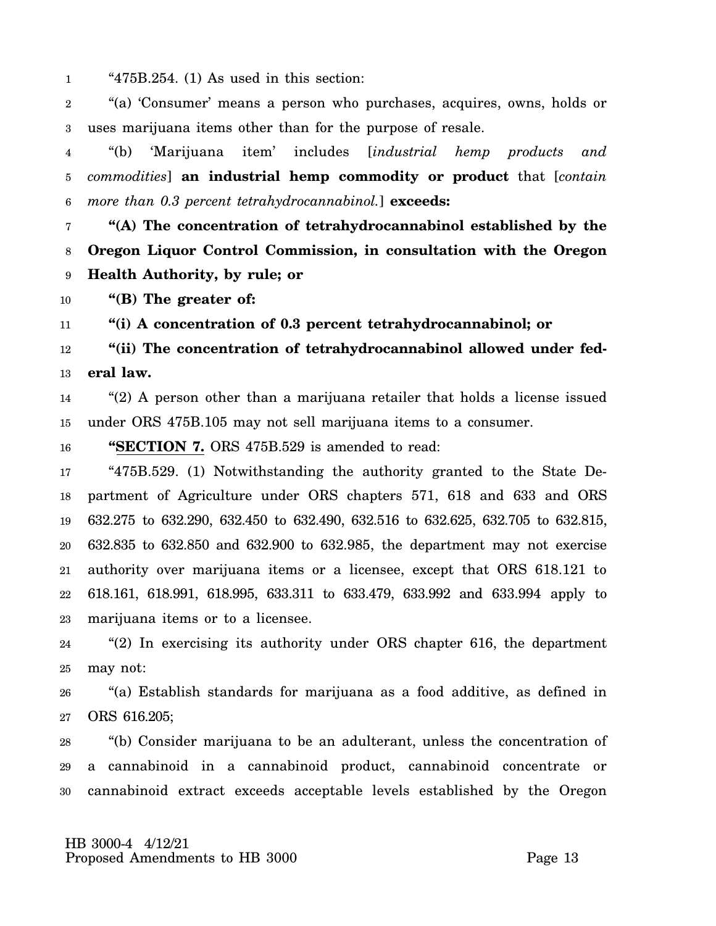1 "475B.254. (1) As used in this section:

2 3 "(a) 'Consumer' means a person who purchases, acquires, owns, holds or uses marijuana items other than for the purpose of resale.

4 5 6 "(b) 'Marijuana item' includes [*industrial hemp products and commodities*] **an industrial hemp commodity or product** that [*contain more than 0.3 percent tetrahydrocannabinol.*] **exceeds:**

7 8 9 **"(A) The concentration of tetrahydrocannabinol established by the Oregon Liquor Control Commission, in consultation with the Oregon Health Authority, by rule; or**

10 **"(B) The greater of:**

11 **"(i) A concentration of 0.3 percent tetrahydrocannabinol; or**

12 13 **"(ii) The concentration of tetrahydrocannabinol allowed under federal law.**

14 15 "(2) A person other than a marijuana retailer that holds a license issued under ORS 475B.105 may not sell marijuana items to a consumer.

16 **"SECTION 7.** ORS 475B.529 is amended to read:

17 18 19 20 21 22 23 "475B.529. (1) Notwithstanding the authority granted to the State Department of Agriculture under ORS chapters 571, 618 and 633 and ORS 632.275 to 632.290, 632.450 to 632.490, 632.516 to 632.625, 632.705 to 632.815, 632.835 to 632.850 and 632.900 to 632.985, the department may not exercise authority over marijuana items or a licensee, except that ORS 618.121 to 618.161, 618.991, 618.995, 633.311 to 633.479, 633.992 and 633.994 apply to marijuana items or to a licensee.

24 25 "(2) In exercising its authority under ORS chapter 616, the department may not:

26 27 "(a) Establish standards for marijuana as a food additive, as defined in ORS 616.205;

28 29 30 "(b) Consider marijuana to be an adulterant, unless the concentration of a cannabinoid in a cannabinoid product, cannabinoid concentrate or cannabinoid extract exceeds acceptable levels established by the Oregon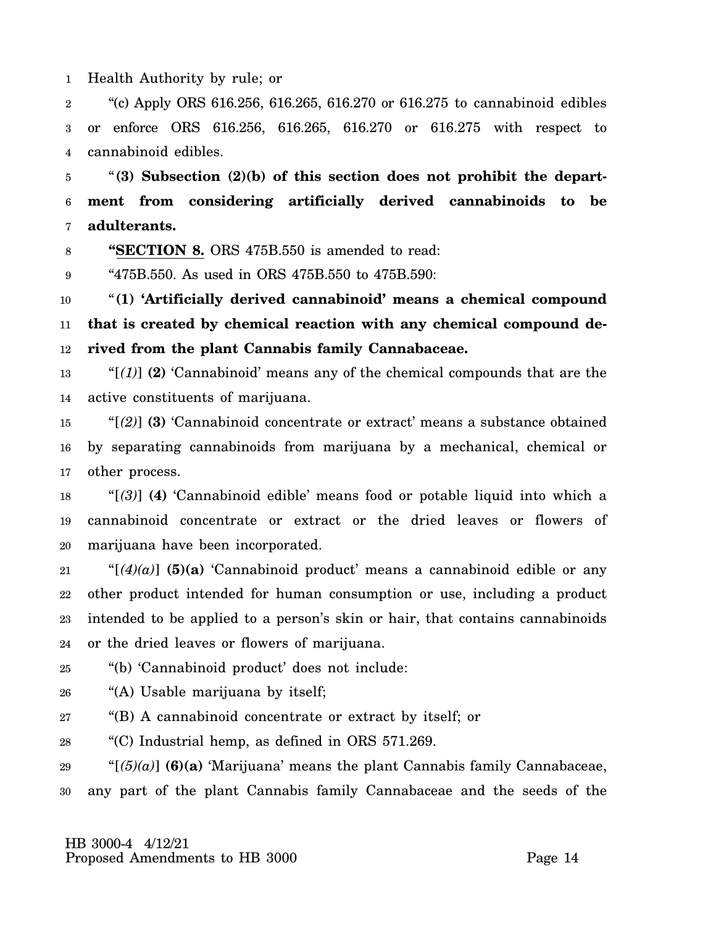1 Health Authority by rule; or

2 3 4 "(c) Apply ORS 616.256, 616.265, 616.270 or 616.275 to cannabinoid edibles or enforce ORS 616.256, 616.265, 616.270 or 616.275 with respect to cannabinoid edibles.

5 6 7 "**(3) Subsection (2)(b) of this section does not prohibit the department from considering artificially derived cannabinoids to be adulterants.**

8 **"SECTION 8.** ORS 475B.550 is amended to read:

9 "475B.550. As used in ORS 475B.550 to 475B.590:

10 11 12 "**(1) 'Artificially derived cannabinoid' means a chemical compound that is created by chemical reaction with any chemical compound derived from the plant Cannabis family Cannabaceae.**

13 14 "[*(1)*] **(2)** 'Cannabinoid' means any of the chemical compounds that are the active constituents of marijuana.

15 16 17 "[*(2)*] **(3)** 'Cannabinoid concentrate or extract' means a substance obtained by separating cannabinoids from marijuana by a mechanical, chemical or other process.

18 19 20 "[*(3)*] **(4)** 'Cannabinoid edible' means food or potable liquid into which a cannabinoid concentrate or extract or the dried leaves or flowers of marijuana have been incorporated.

21 22 23 24 " $[(4)(a)]$  (5)(a) 'Cannabinoid product' means a cannabinoid edible or any other product intended for human consumption or use, including a product intended to be applied to a person's skin or hair, that contains cannabinoids or the dried leaves or flowers of marijuana.

25 "(b) 'Cannabinoid product' does not include:

26 "(A) Usable marijuana by itself;

27 "(B) A cannabinoid concentrate or extract by itself; or

28 "(C) Industrial hemp, as defined in ORS 571.269.

29 30 " $[$  $(5)(a)$  $]$  **(6)(a)** 'Marijuana' means the plant Cannabis family Cannabaceae, any part of the plant Cannabis family Cannabaceae and the seeds of the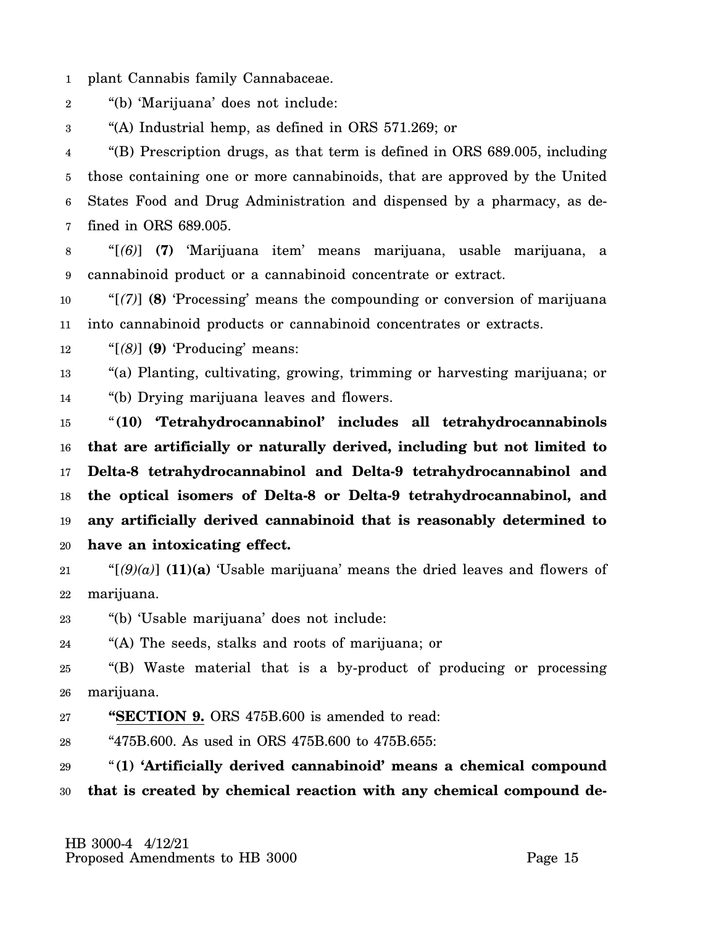1 plant Cannabis family Cannabaceae.

2 "(b) 'Marijuana' does not include:

3 "(A) Industrial hemp, as defined in ORS 571.269; or

4 5 6 7 "(B) Prescription drugs, as that term is defined in ORS 689.005, including those containing one or more cannabinoids, that are approved by the United States Food and Drug Administration and dispensed by a pharmacy, as defined in ORS 689.005.

8 9 "[*(6)*] **(7)** 'Marijuana item' means marijuana, usable marijuana, a cannabinoid product or a cannabinoid concentrate or extract.

10 11 "[*(7)*] **(8)** 'Processing' means the compounding or conversion of marijuana into cannabinoid products or cannabinoid concentrates or extracts.

12 "[*(8)*] **(9)** 'Producing' means:

13 14 "(a) Planting, cultivating, growing, trimming or harvesting marijuana; or "(b) Drying marijuana leaves and flowers.

15 16 17 18 19 20 "**(10) 'Tetrahydrocannabinol' includes all tetrahydrocannabinols that are artificially or naturally derived, including but not limited to Delta-8 tetrahydrocannabinol and Delta-9 tetrahydrocannabinol and the optical isomers of Delta-8 or Delta-9 tetrahydrocannabinol, and any artificially derived cannabinoid that is reasonably determined to have an intoxicating effect.**

21 22 " $[(9)(a)]$  **(11)(a)** 'Usable marijuana' means the dried leaves and flowers of marijuana.

23 "(b) 'Usable marijuana' does not include:

24 "(A) The seeds, stalks and roots of marijuana; or

25 26 "(B) Waste material that is a by-product of producing or processing marijuana.

27 **"SECTION 9.** ORS 475B.600 is amended to read:

28 "475B.600. As used in ORS 475B.600 to 475B.655:

29 30 "**(1) 'Artificially derived cannabinoid' means a chemical compound that is created by chemical reaction with any chemical compound de-**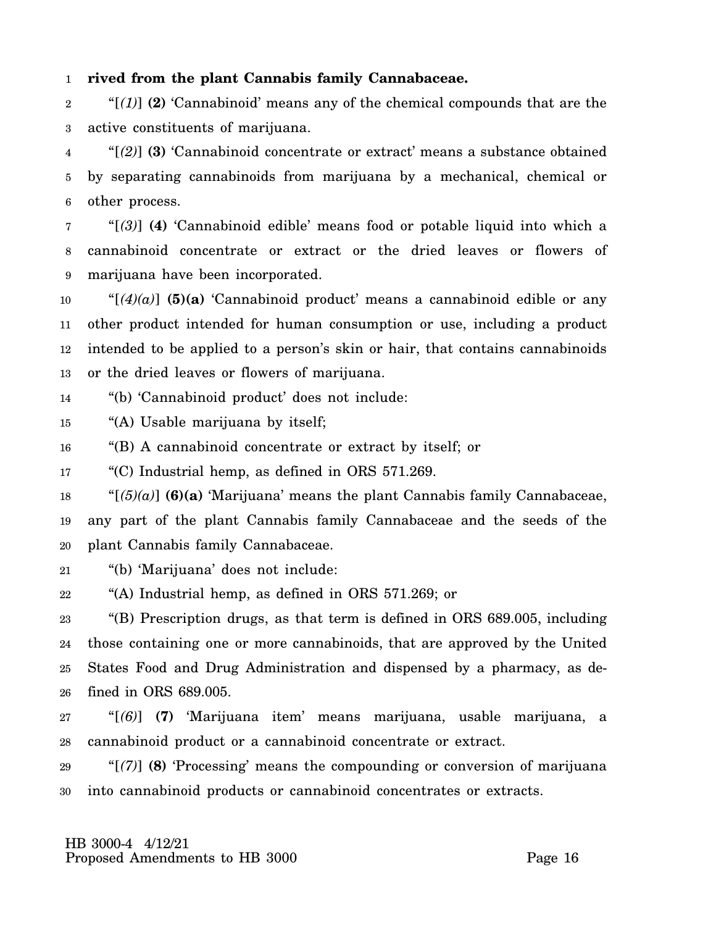#### 1 **rived from the plant Cannabis family Cannabaceae.**

2 3 "[*(1)*] **(2)** 'Cannabinoid' means any of the chemical compounds that are the active constituents of marijuana.

4 5 6 "[*(2)*] **(3)** 'Cannabinoid concentrate or extract' means a substance obtained by separating cannabinoids from marijuana by a mechanical, chemical or other process.

7 8 9 "[*(3)*] **(4)** 'Cannabinoid edible' means food or potable liquid into which a cannabinoid concentrate or extract or the dried leaves or flowers of marijuana have been incorporated.

10 11 12 13 " $[(4)(a)]$  (5)(a) 'Cannabinoid product' means a cannabinoid edible or any other product intended for human consumption or use, including a product intended to be applied to a person's skin or hair, that contains cannabinoids or the dried leaves or flowers of marijuana.

14 "(b) 'Cannabinoid product' does not include:

15 "(A) Usable marijuana by itself;

16 "(B) A cannabinoid concentrate or extract by itself; or

17 "(C) Industrial hemp, as defined in ORS 571.269.

18 19 20 " $[5](a)$  **(6)(a)** 'Marijuana' means the plant Cannabis family Cannabaceae, any part of the plant Cannabis family Cannabaceae and the seeds of the plant Cannabis family Cannabaceae.

21 "(b) 'Marijuana' does not include:

22 "(A) Industrial hemp, as defined in ORS 571.269; or

23 24 25 26 "(B) Prescription drugs, as that term is defined in ORS 689.005, including those containing one or more cannabinoids, that are approved by the United States Food and Drug Administration and dispensed by a pharmacy, as defined in ORS 689.005.

27 28 "[*(6)*] **(7)** 'Marijuana item' means marijuana, usable marijuana, a cannabinoid product or a cannabinoid concentrate or extract.

29 30 "[*(7)*] **(8)** 'Processing' means the compounding or conversion of marijuana into cannabinoid products or cannabinoid concentrates or extracts.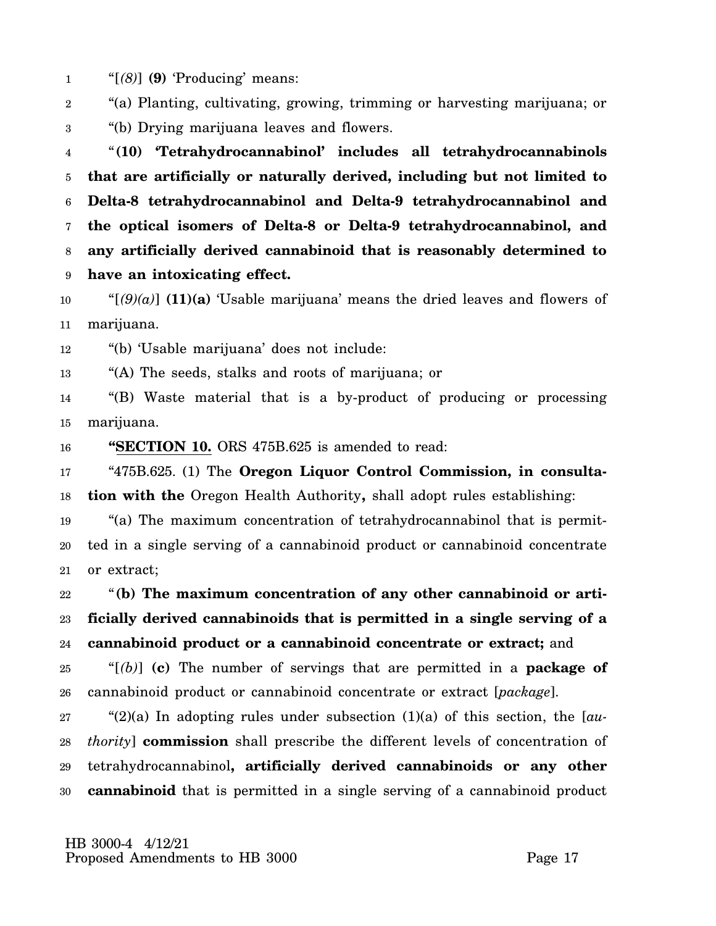1 "[*(8)*] **(9)** 'Producing' means:

2 3 "(a) Planting, cultivating, growing, trimming or harvesting marijuana; or "(b) Drying marijuana leaves and flowers.

4 5 6 7 8 9 "**(10) 'Tetrahydrocannabinol' includes all tetrahydrocannabinols that are artificially or naturally derived, including but not limited to Delta-8 tetrahydrocannabinol and Delta-9 tetrahydrocannabinol and the optical isomers of Delta-8 or Delta-9 tetrahydrocannabinol, and any artificially derived cannabinoid that is reasonably determined to have an intoxicating effect.**

10 11 " $[(9)(a)]$  (11)(a) 'Usable marijuana' means the dried leaves and flowers of marijuana.

12 "(b) 'Usable marijuana' does not include:

13 "(A) The seeds, stalks and roots of marijuana; or

14 15 "(B) Waste material that is a by-product of producing or processing marijuana.

16 **"SECTION 10.** ORS 475B.625 is amended to read:

17 18 "475B.625. (1) The **Oregon Liquor Control Commission, in consultation with the** Oregon Health Authority**,** shall adopt rules establishing:

19 20 21 "(a) The maximum concentration of tetrahydrocannabinol that is permitted in a single serving of a cannabinoid product or cannabinoid concentrate or extract;

22 23 24 "**(b) The maximum concentration of any other cannabinoid or artificially derived cannabinoids that is permitted in a single serving of a cannabinoid product or a cannabinoid concentrate or extract;** and

25 26 "[*(b)*] **(c)** The number of servings that are permitted in a **package of** cannabinoid product or cannabinoid concentrate or extract [*package*].

27 28 29 30 "(2)(a) In adopting rules under subsection (1)(a) of this section, the [*authority*] **commission** shall prescribe the different levels of concentration of tetrahydrocannabinol**, artificially derived cannabinoids or any other cannabinoid** that is permitted in a single serving of a cannabinoid product

 HB 3000-4 4/12/21 Proposed Amendments to HB 3000 Proposed Page 17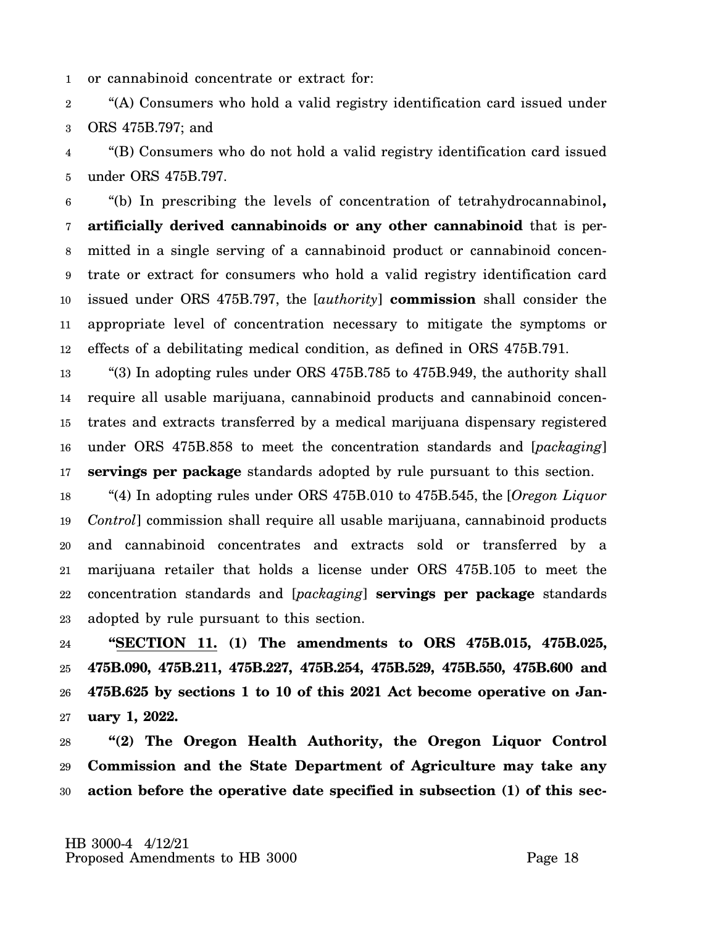1 or cannabinoid concentrate or extract for:

2 3 "(A) Consumers who hold a valid registry identification card issued under ORS 475B.797; and

4 5 "(B) Consumers who do not hold a valid registry identification card issued under ORS 475B.797.

6 7 8 9 10 11 12 "(b) In prescribing the levels of concentration of tetrahydrocannabinol**, artificially derived cannabinoids or any other cannabinoid** that is permitted in a single serving of a cannabinoid product or cannabinoid concentrate or extract for consumers who hold a valid registry identification card issued under ORS 475B.797, the [*authority*] **commission** shall consider the appropriate level of concentration necessary to mitigate the symptoms or effects of a debilitating medical condition, as defined in ORS 475B.791.

13 14 15 16 17 "(3) In adopting rules under ORS 475B.785 to 475B.949, the authority shall require all usable marijuana, cannabinoid products and cannabinoid concentrates and extracts transferred by a medical marijuana dispensary registered under ORS 475B.858 to meet the concentration standards and [*packaging*] **servings per package** standards adopted by rule pursuant to this section.

18 19 20 21 22 23 "(4) In adopting rules under ORS 475B.010 to 475B.545, the [*Oregon Liquor Control*] commission shall require all usable marijuana, cannabinoid products and cannabinoid concentrates and extracts sold or transferred by a marijuana retailer that holds a license under ORS 475B.105 to meet the concentration standards and [*packaging*] **servings per package** standards adopted by rule pursuant to this section.

24 25 26 27 **"SECTION 11. (1) The amendments to ORS 475B.015, 475B.025, 475B.090, 475B.211, 475B.227, 475B.254, 475B.529, 475B.550, 475B.600 and 475B.625 by sections 1 to 10 of this 2021 Act become operative on January 1, 2022.**

28 29 30 **"(2) The Oregon Health Authority, the Oregon Liquor Control Commission and the State Department of Agriculture may take any action before the operative date specified in subsection (1) of this sec-**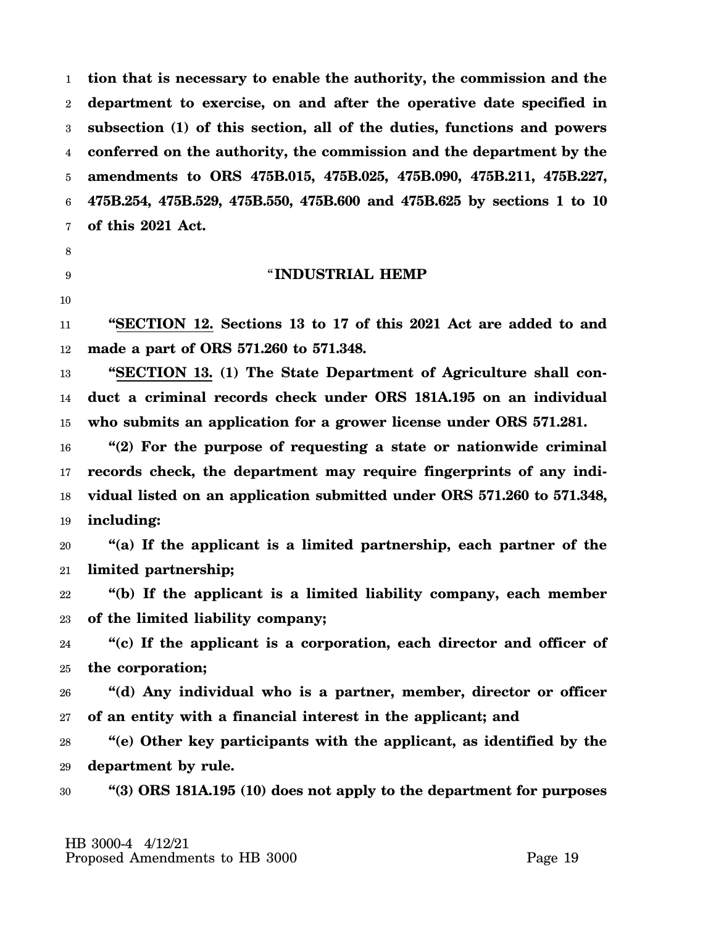1 2 3 4 5 6 7 **tion that is necessary to enable the authority, the commission and the department to exercise, on and after the operative date specified in subsection (1) of this section, all of the duties, functions and powers conferred on the authority, the commission and the department by the amendments to ORS 475B.015, 475B.025, 475B.090, 475B.211, 475B.227, 475B.254, 475B.529, 475B.550, 475B.600 and 475B.625 by sections 1 to 10 of this 2021 Act.**

8

# 9

### "**INDUSTRIAL HEMP**

10

11 12 **"SECTION 12. Sections 13 to 17 of this 2021 Act are added to and made a part of ORS 571.260 to 571.348.**

13 14 15 **"SECTION 13. (1) The State Department of Agriculture shall conduct a criminal records check under ORS 181A.195 on an individual who submits an application for a grower license under ORS 571.281.**

16 17 18 19 **"(2) For the purpose of requesting a state or nationwide criminal records check, the department may require fingerprints of any individual listed on an application submitted under ORS 571.260 to 571.348, including:**

20 21 **"(a) If the applicant is a limited partnership, each partner of the limited partnership;**

22 23 **"(b) If the applicant is a limited liability company, each member of the limited liability company;**

24 25 **"(c) If the applicant is a corporation, each director and officer of the corporation;**

26 27 **"(d) Any individual who is a partner, member, director or officer of an entity with a financial interest in the applicant; and**

28 29 **"(e) Other key participants with the applicant, as identified by the department by rule.**

30 **"(3) ORS 181A.195 (10) does not apply to the department for purposes**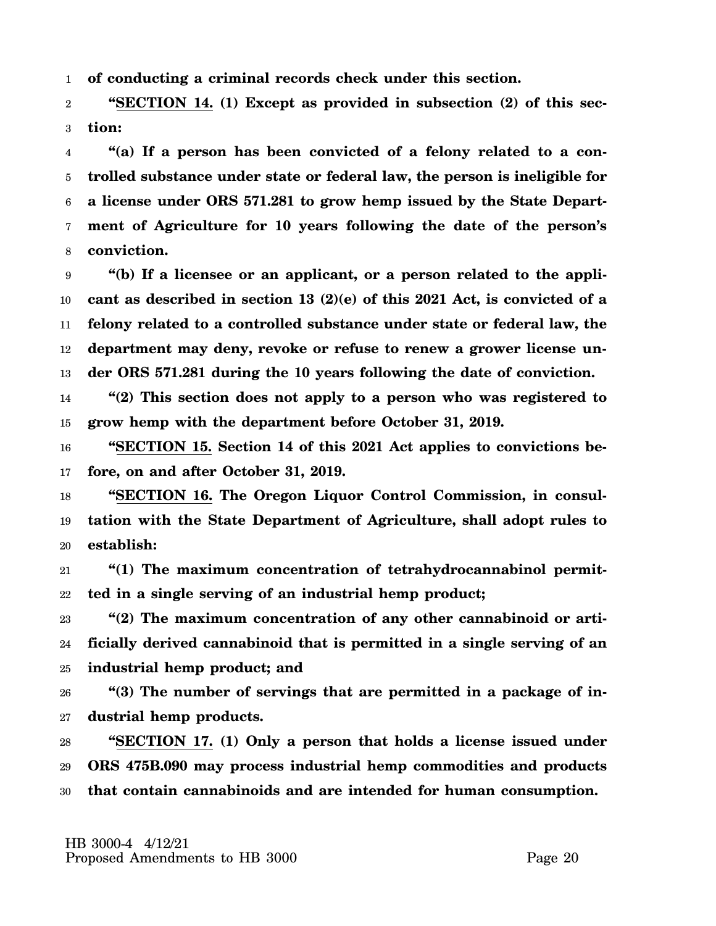1 **of conducting a criminal records check under this section.**

2 3 **"SECTION 14. (1) Except as provided in subsection (2) of this section:**

4 5 6 7 8 **"(a) If a person has been convicted of a felony related to a controlled substance under state or federal law, the person is ineligible for a license under ORS 571.281 to grow hemp issued by the State Department of Agriculture for 10 years following the date of the person's conviction.**

9 10 11 12 13 **"(b) If a licensee or an applicant, or a person related to the applicant as described in section 13 (2)(e) of this 2021 Act, is convicted of a felony related to a controlled substance under state or federal law, the department may deny, revoke or refuse to renew a grower license under ORS 571.281 during the 10 years following the date of conviction.**

14 15 **"(2) This section does not apply to a person who was registered to grow hemp with the department before October 31, 2019.**

16 17 **"SECTION 15. Section 14 of this 2021 Act applies to convictions before, on and after October 31, 2019.**

18 19 20 **"SECTION 16. The Oregon Liquor Control Commission, in consultation with the State Department of Agriculture, shall adopt rules to establish:**

21 22 **"(1) The maximum concentration of tetrahydrocannabinol permitted in a single serving of an industrial hemp product;**

23 24 25 **"(2) The maximum concentration of any other cannabinoid or artificially derived cannabinoid that is permitted in a single serving of an industrial hemp product; and**

26 27 **"(3) The number of servings that are permitted in a package of industrial hemp products.**

28 29 30 **"SECTION 17. (1) Only a person that holds a license issued under ORS 475B.090 may process industrial hemp commodities and products that contain cannabinoids and are intended for human consumption.**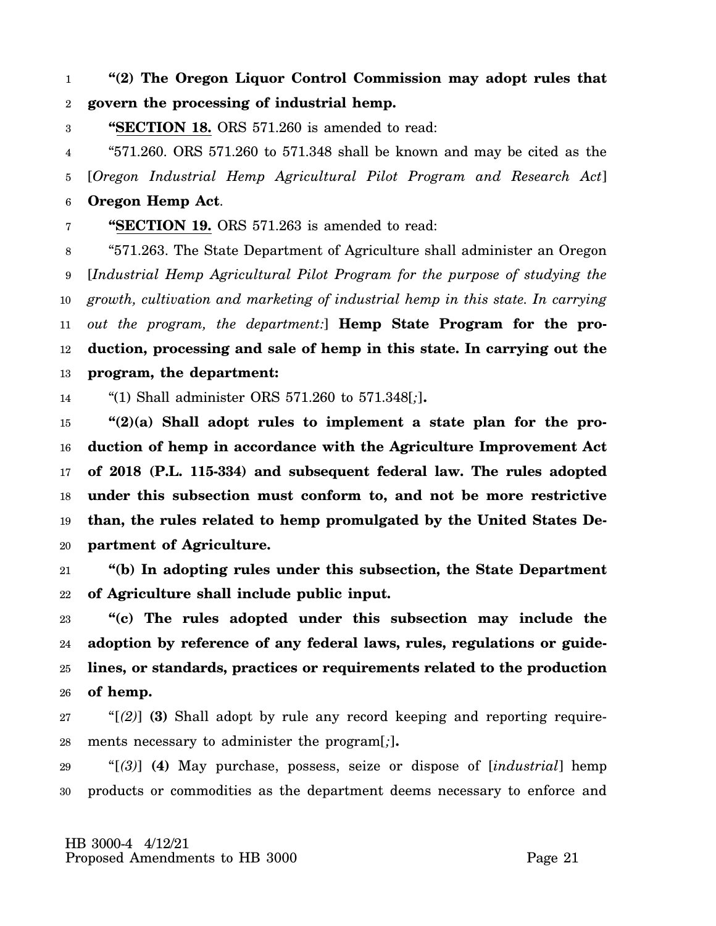1 2 **"(2) The Oregon Liquor Control Commission may adopt rules that govern the processing of industrial hemp.**

3 **"SECTION 18.** ORS 571.260 is amended to read:

4 5 "571.260. ORS 571.260 to 571.348 shall be known and may be cited as the [*Oregon Industrial Hemp Agricultural Pilot Program and Research Act*]

6 **Oregon Hemp Act**.

7 **"SECTION 19.** ORS 571.263 is amended to read:

8 9 10 11 12 13 "571.263. The State Department of Agriculture shall administer an Oregon [*Industrial Hemp Agricultural Pilot Program for the purpose of studying the growth, cultivation and marketing of industrial hemp in this state. In carrying out the program, the department:*] **Hemp State Program for the production, processing and sale of hemp in this state. In carrying out the program, the department:**

14 "(1) Shall administer ORS 571.260 to 571.348[*;*]**.**

15 16 17 18 19 20 **"(2)(a) Shall adopt rules to implement a state plan for the production of hemp in accordance with the Agriculture Improvement Act of 2018 (P.L. 115-334) and subsequent federal law. The rules adopted under this subsection must conform to, and not be more restrictive than, the rules related to hemp promulgated by the United States Department of Agriculture.**

21 22 **"(b) In adopting rules under this subsection, the State Department of Agriculture shall include public input.**

23 24 25 26 **"(c) The rules adopted under this subsection may include the adoption by reference of any federal laws, rules, regulations or guidelines, or standards, practices or requirements related to the production of hemp.**

27 28 "[*(2)*] **(3)** Shall adopt by rule any record keeping and reporting requirements necessary to administer the program[*;*]**.**

29 30 "[*(3)*] **(4)** May purchase, possess, seize or dispose of [*industrial*] hemp products or commodities as the department deems necessary to enforce and

 HB 3000-4 4/12/21 Proposed Amendments to HB 3000 Proposed Page 21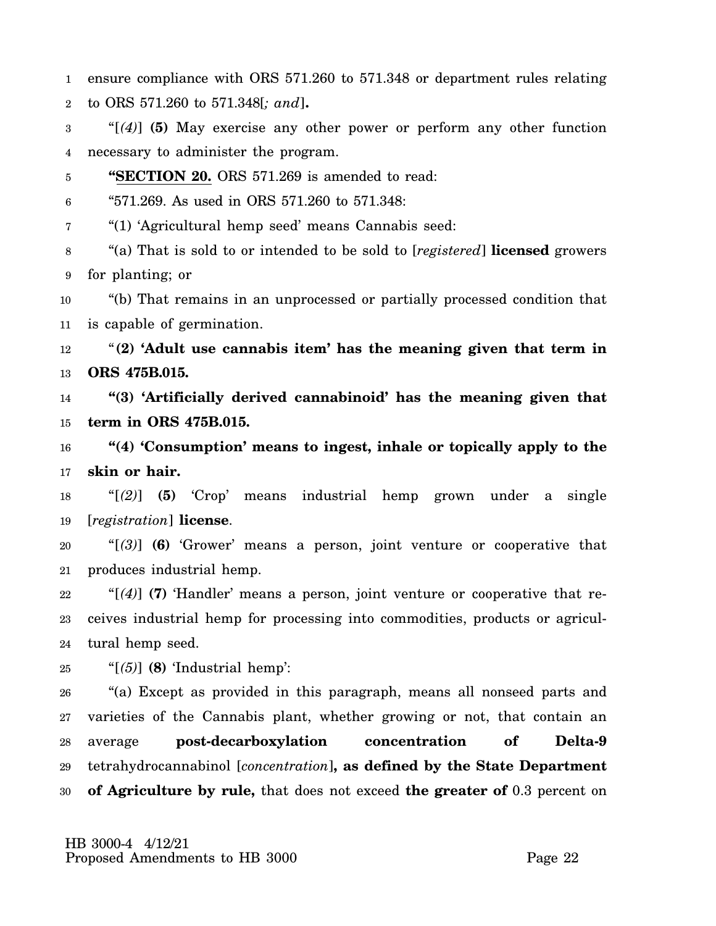1 2 ensure compliance with ORS 571.260 to 571.348 or department rules relating to ORS 571.260 to 571.348[*; and*]**.**

3 4 "[*(4)*] **(5)** May exercise any other power or perform any other function necessary to administer the program.

5 **"SECTION 20.** ORS 571.269 is amended to read:

6 "571.269. As used in ORS 571.260 to 571.348:

7 "(1) 'Agricultural hemp seed' means Cannabis seed:

8 9 "(a) That is sold to or intended to be sold to [*registered*] **licensed** growers for planting; or

10 11 "(b) That remains in an unprocessed or partially processed condition that is capable of germination.

12 13 "**(2) 'Adult use cannabis item' has the meaning given that term in ORS 475B.015.**

14 15 **"(3) 'Artificially derived cannabinoid' has the meaning given that term in ORS 475B.015.**

16 17 **"(4) 'Consumption' means to ingest, inhale or topically apply to the skin or hair.**

18 19 "[*(2)*] **(5)** 'Crop' means industrial hemp grown under a single [*registration*] **license**.

20 21 "[*(3)*] **(6)** 'Grower' means a person, joint venture or cooperative that produces industrial hemp.

22 23 24 "[*(4)*] **(7)** 'Handler' means a person, joint venture or cooperative that receives industrial hemp for processing into commodities, products or agricultural hemp seed.

25 "[*(5)*] **(8)** 'Industrial hemp':

26 27 28 29 30 "(a) Except as provided in this paragraph, means all nonseed parts and varieties of the Cannabis plant, whether growing or not, that contain an average **post-decarboxylation concentration of Delta-9** tetrahydrocannabinol [*concentration*]**, as defined by the State Department of Agriculture by rule,** that does not exceed **the greater of** 0.3 percent on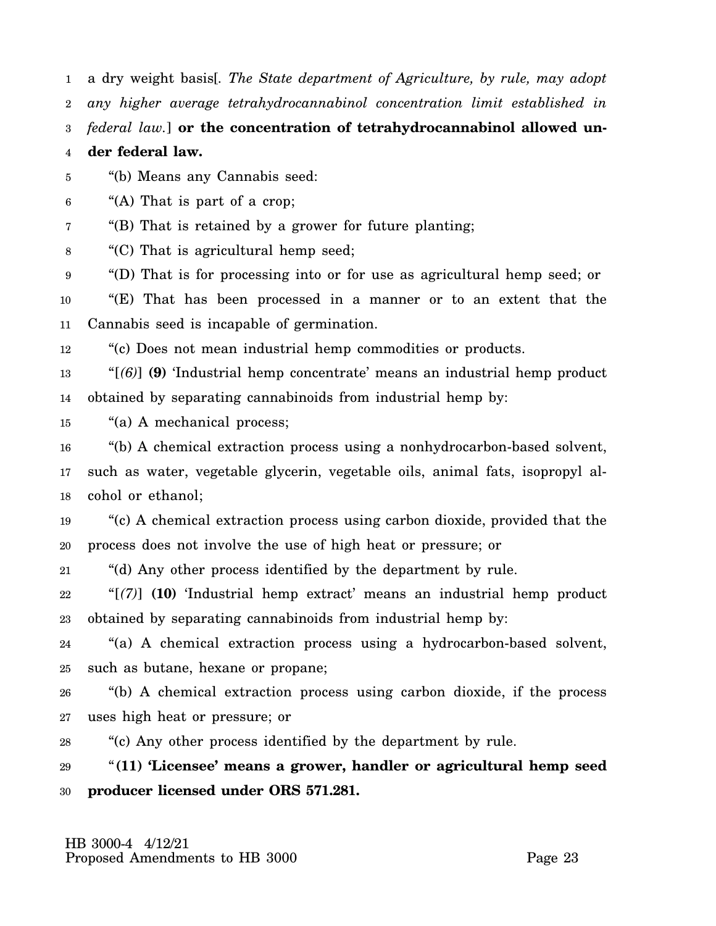1 a dry weight basis[*. The State department of Agriculture, by rule, may adopt*

2 *any higher average tetrahydrocannabinol concentration limit established in*

3 *federal law.*] **or the concentration of tetrahydrocannabinol allowed un-**

4 **der federal law.**

5 "(b) Means any Cannabis seed:

6 "(A) That is part of a crop;

7 "(B) That is retained by a grower for future planting;

8 "(C) That is agricultural hemp seed;

9 "(D) That is for processing into or for use as agricultural hemp seed; or

10 11 "(E) That has been processed in a manner or to an extent that the Cannabis seed is incapable of germination.

12 "(c) Does not mean industrial hemp commodities or products.

13 14 "[*(6)*] **(9)** 'Industrial hemp concentrate' means an industrial hemp product obtained by separating cannabinoids from industrial hemp by:

15 "(a) A mechanical process;

16 17 18 "(b) A chemical extraction process using a nonhydrocarbon-based solvent, such as water, vegetable glycerin, vegetable oils, animal fats, isopropyl alcohol or ethanol;

19 20 "(c) A chemical extraction process using carbon dioxide, provided that the process does not involve the use of high heat or pressure; or

21 "(d) Any other process identified by the department by rule.

22 23 "[*(7)*] **(10)** 'Industrial hemp extract' means an industrial hemp product obtained by separating cannabinoids from industrial hemp by:

24 25 "(a) A chemical extraction process using a hydrocarbon-based solvent, such as butane, hexane or propane;

26 27 "(b) A chemical extraction process using carbon dioxide, if the process uses high heat or pressure; or

28 "(c) Any other process identified by the department by rule.

29 30 "**(11) 'Licensee' means a grower, handler or agricultural hemp seed producer licensed under ORS 571.281.**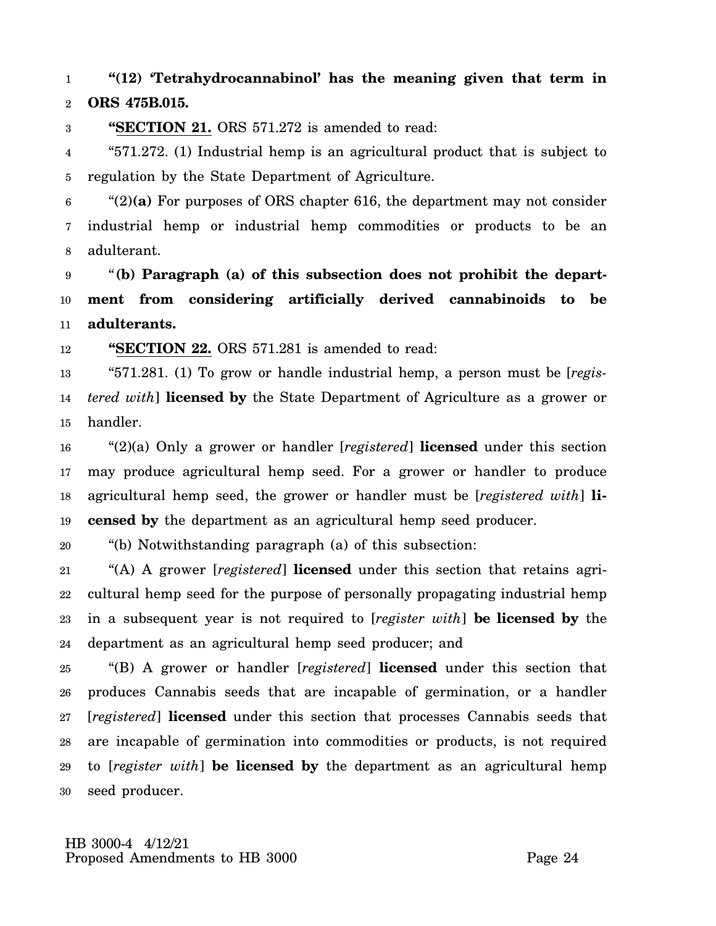### 1 2 **"(12) 'Tetrahydrocannabinol' has the meaning given that term in ORS 475B.015.**

3 **"SECTION 21.** ORS 571.272 is amended to read:

4 5 "571.272. (1) Industrial hemp is an agricultural product that is subject to regulation by the State Department of Agriculture.

6 7 8 "(2)**(a)** For purposes of ORS chapter 616, the department may not consider industrial hemp or industrial hemp commodities or products to be an adulterant.

9 10 11 "**(b) Paragraph (a) of this subsection does not prohibit the department from considering artificially derived cannabinoids to be adulterants.**

12 **"SECTION 22.** ORS 571.281 is amended to read:

13 14 15 "571.281. (1) To grow or handle industrial hemp, a person must be [*registered with*] **licensed by** the State Department of Agriculture as a grower or handler.

16 17 18 19 "(2)(a) Only a grower or handler [*registered*] **licensed** under this section may produce agricultural hemp seed. For a grower or handler to produce agricultural hemp seed, the grower or handler must be [*registered with*] **licensed by** the department as an agricultural hemp seed producer.

20 "(b) Notwithstanding paragraph (a) of this subsection:

21 22 23 24 "(A) A grower [*registered*] **licensed** under this section that retains agricultural hemp seed for the purpose of personally propagating industrial hemp in a subsequent year is not required to [*register with*] **be licensed by** the department as an agricultural hemp seed producer; and

25 26 27 28 29 30 "(B) A grower or handler [*registered*] **licensed** under this section that produces Cannabis seeds that are incapable of germination, or a handler [*registered*] **licensed** under this section that processes Cannabis seeds that are incapable of germination into commodities or products, is not required to [*register with*] **be licensed by** the department as an agricultural hemp seed producer.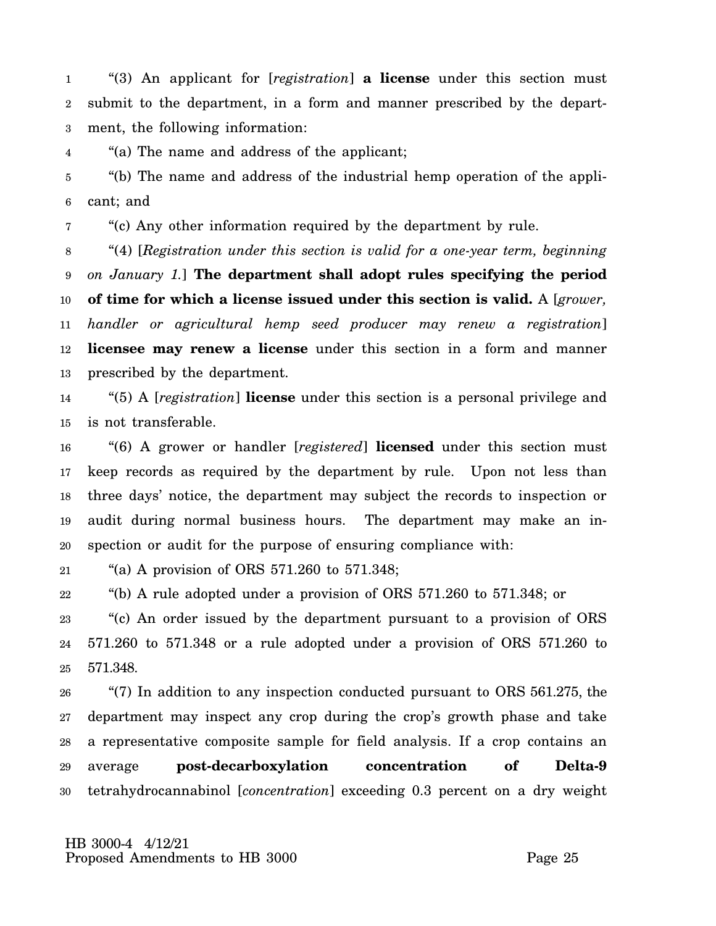1 2 3 "(3) An applicant for [*registration*] **a license** under this section must submit to the department, in a form and manner prescribed by the department, the following information:

4 "(a) The name and address of the applicant;

5 6 "(b) The name and address of the industrial hemp operation of the applicant; and

7 "(c) Any other information required by the department by rule.

8 9 10 11 12 13 "(4) [*Registration under this section is valid for a one-year term, beginning on January 1.*] **The department shall adopt rules specifying the period of time for which a license issued under this section is valid.** A [*grower, handler or agricultural hemp seed producer may renew a registration*] **licensee may renew a license** under this section in a form and manner prescribed by the department.

14 15 "(5) A [*registration*] **license** under this section is a personal privilege and is not transferable.

16 17 18 19 20 "(6) A grower or handler [*registered*] **licensed** under this section must keep records as required by the department by rule. Upon not less than three days' notice, the department may subject the records to inspection or audit during normal business hours. The department may make an inspection or audit for the purpose of ensuring compliance with:

21 "(a) A provision of ORS 571.260 to 571.348;

22 "(b) A rule adopted under a provision of ORS 571.260 to 571.348; or

23 24 25 "(c) An order issued by the department pursuant to a provision of ORS 571.260 to 571.348 or a rule adopted under a provision of ORS 571.260 to 571.348.

26 27 28 29 30 "(7) In addition to any inspection conducted pursuant to ORS 561.275, the department may inspect any crop during the crop's growth phase and take a representative composite sample for field analysis. If a crop contains an average **post-decarboxylation concentration of Delta-9** tetrahydrocannabinol [*concentration*] exceeding 0.3 percent on a dry weight

 HB 3000-4 4/12/21 Proposed Amendments to HB 3000 Proposed Page 25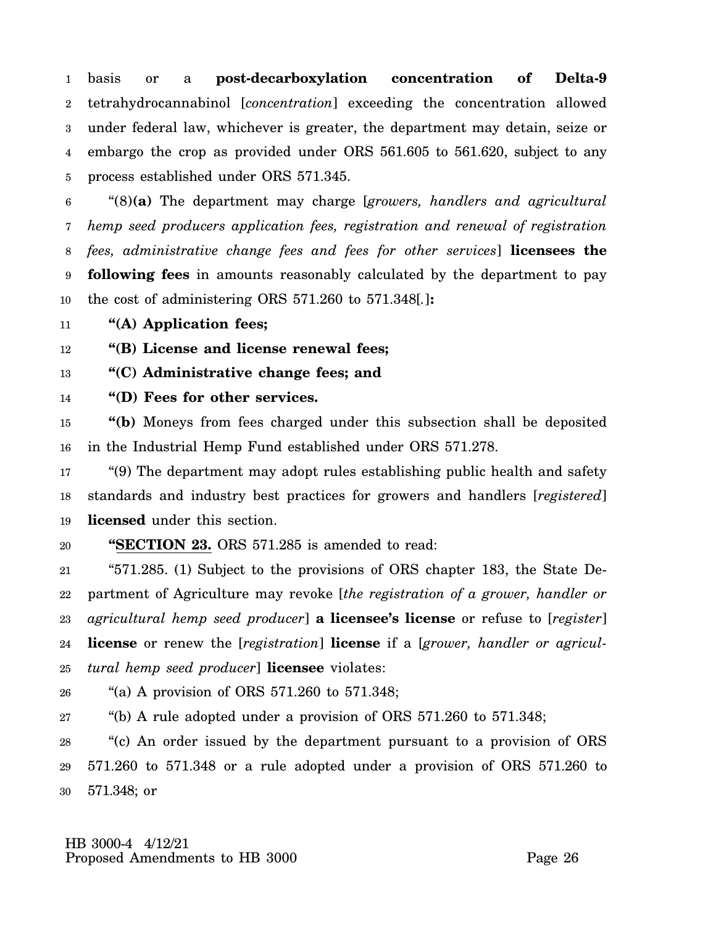1 2 3 4 5 basis or a **post-decarboxylation concentration of Delta-9** tetrahydrocannabinol [*concentration*] exceeding the concentration allowed under federal law, whichever is greater, the department may detain, seize or embargo the crop as provided under ORS 561.605 to 561.620, subject to any process established under ORS 571.345.

6 7 8 9 10 "(8)**(a)** The department may charge [*growers, handlers and agricultural hemp seed producers application fees, registration and renewal of registration fees, administrative change fees and fees for other services*] **licensees the following fees** in amounts reasonably calculated by the department to pay the cost of administering ORS 571.260 to 571.348[*.*]**:**

11 **"(A) Application fees;**

12 **"(B) License and license renewal fees;**

13 **"(C) Administrative change fees; and**

14 **"(D) Fees for other services.**

15 16 **"(b)** Moneys from fees charged under this subsection shall be deposited in the Industrial Hemp Fund established under ORS 571.278.

17 18 19 "(9) The department may adopt rules establishing public health and safety standards and industry best practices for growers and handlers [*registered*] **licensed** under this section.

20 **"SECTION 23.** ORS 571.285 is amended to read:

21 22 23 24 25 "571.285. (1) Subject to the provisions of ORS chapter 183, the State Department of Agriculture may revoke [*the registration of a grower, handler or agricultural hemp seed producer*] **a licensee's license** or refuse to [*register*] **license** or renew the [*registration*] **license** if a [*grower, handler or agricultural hemp seed producer*] **licensee** violates:

26 "(a) A provision of ORS 571.260 to 571.348;

27 "(b) A rule adopted under a provision of ORS 571.260 to 571.348;

28 29 30 "(c) An order issued by the department pursuant to a provision of ORS 571.260 to 571.348 or a rule adopted under a provision of ORS 571.260 to 571.348; or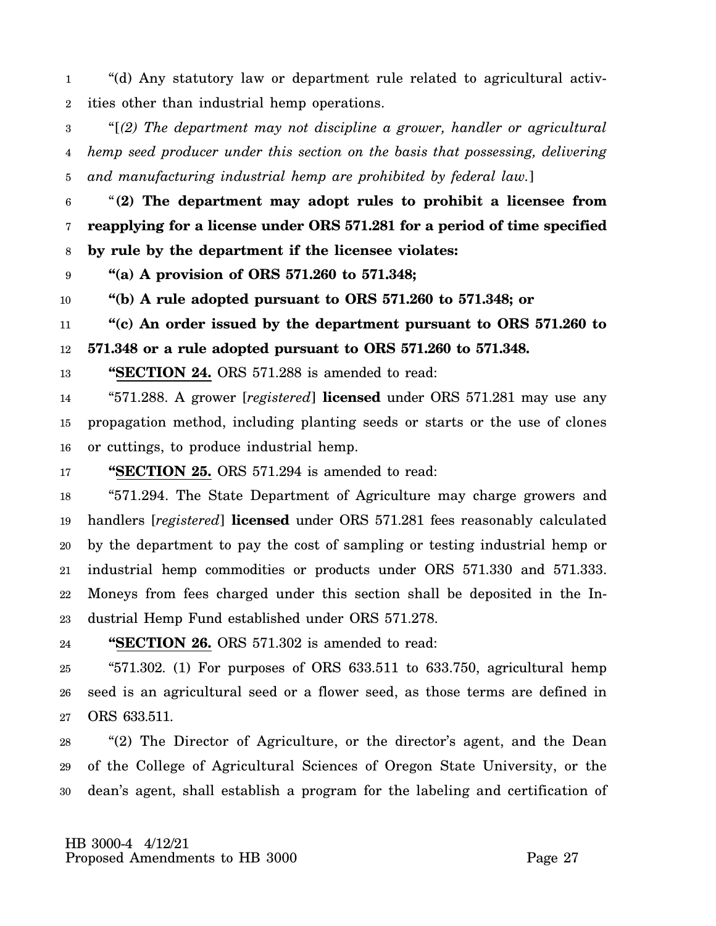1 2 "(d) Any statutory law or department rule related to agricultural activities other than industrial hemp operations.

3 4 5 "[*(2) The department may not discipline a grower, handler or agricultural hemp seed producer under this section on the basis that possessing, delivering and manufacturing industrial hemp are prohibited by federal law.*]

6 7 8 "**(2) The department may adopt rules to prohibit a licensee from reapplying for a license under ORS 571.281 for a period of time specified by rule by the department if the licensee violates:**

9 **"(a) A provision of ORS 571.260 to 571.348;**

10 **"(b) A rule adopted pursuant to ORS 571.260 to 571.348; or**

11 12 **"(c) An order issued by the department pursuant to ORS 571.260 to 571.348 or a rule adopted pursuant to ORS 571.260 to 571.348.**

13 **"SECTION 24.** ORS 571.288 is amended to read:

14 15 16 "571.288. A grower [*registered*] **licensed** under ORS 571.281 may use any propagation method, including planting seeds or starts or the use of clones or cuttings, to produce industrial hemp.

17 **"SECTION 25.** ORS 571.294 is amended to read:

18 19 20 21 22 23 "571.294. The State Department of Agriculture may charge growers and handlers [*registered*] **licensed** under ORS 571.281 fees reasonably calculated by the department to pay the cost of sampling or testing industrial hemp or industrial hemp commodities or products under ORS 571.330 and 571.333. Moneys from fees charged under this section shall be deposited in the Industrial Hemp Fund established under ORS 571.278.

24 **"SECTION 26.** ORS 571.302 is amended to read:

25 26 27 " $571.302$ . (1) For purposes of ORS  $633.511$  to  $633.750$ , agricultural hemp seed is an agricultural seed or a flower seed, as those terms are defined in ORS 633.511.

28 29 30 "(2) The Director of Agriculture, or the director's agent, and the Dean of the College of Agricultural Sciences of Oregon State University, or the dean's agent, shall establish a program for the labeling and certification of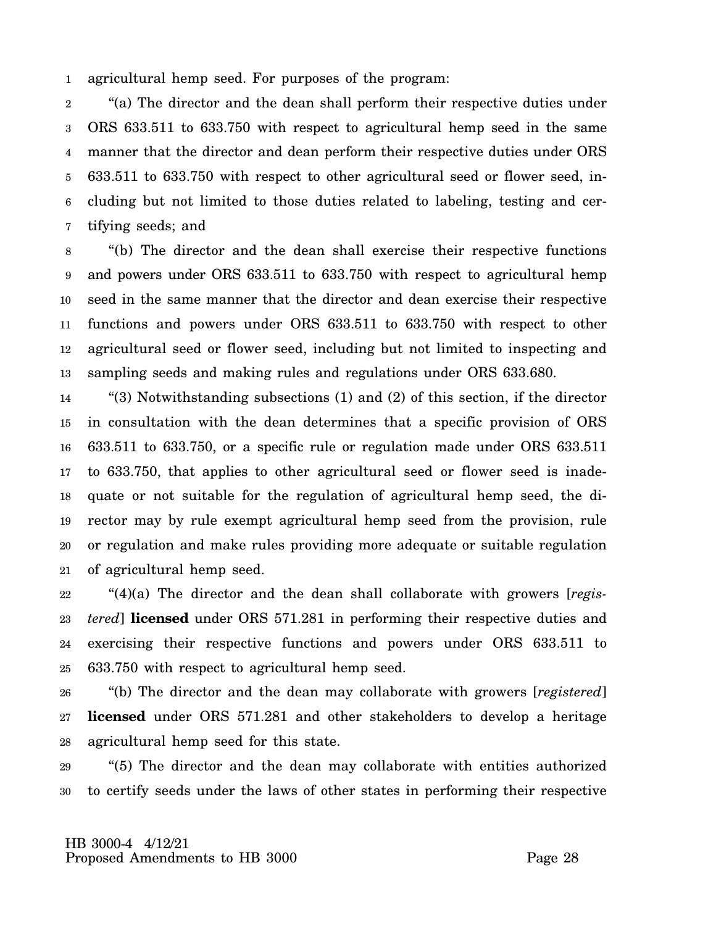1 agricultural hemp seed. For purposes of the program:

2 3 4 5 6 7 "(a) The director and the dean shall perform their respective duties under ORS 633.511 to 633.750 with respect to agricultural hemp seed in the same manner that the director and dean perform their respective duties under ORS 633.511 to 633.750 with respect to other agricultural seed or flower seed, including but not limited to those duties related to labeling, testing and certifying seeds; and

8 9 10 11 12 13 "(b) The director and the dean shall exercise their respective functions and powers under ORS 633.511 to 633.750 with respect to agricultural hemp seed in the same manner that the director and dean exercise their respective functions and powers under ORS 633.511 to 633.750 with respect to other agricultural seed or flower seed, including but not limited to inspecting and sampling seeds and making rules and regulations under ORS 633.680.

14 15 16 17 18 19 20 21 "(3) Notwithstanding subsections (1) and (2) of this section, if the director in consultation with the dean determines that a specific provision of ORS 633.511 to 633.750, or a specific rule or regulation made under ORS 633.511 to 633.750, that applies to other agricultural seed or flower seed is inadequate or not suitable for the regulation of agricultural hemp seed, the director may by rule exempt agricultural hemp seed from the provision, rule or regulation and make rules providing more adequate or suitable regulation of agricultural hemp seed.

22 23 24 25 "(4)(a) The director and the dean shall collaborate with growers [*registered*] **licensed** under ORS 571.281 in performing their respective duties and exercising their respective functions and powers under ORS 633.511 to 633.750 with respect to agricultural hemp seed.

26 27 28 "(b) The director and the dean may collaborate with growers [*registered*] **licensed** under ORS 571.281 and other stakeholders to develop a heritage agricultural hemp seed for this state.

29 30 "(5) The director and the dean may collaborate with entities authorized to certify seeds under the laws of other states in performing their respective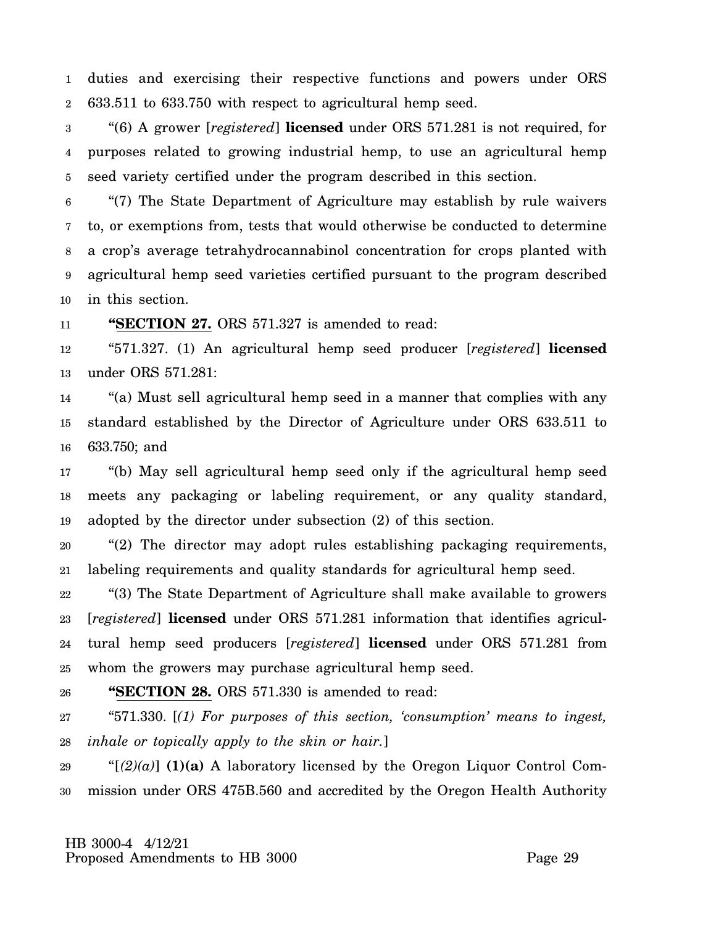1 2 duties and exercising their respective functions and powers under ORS 633.511 to 633.750 with respect to agricultural hemp seed.

3 4 5 "(6) A grower [*registered*] **licensed** under ORS 571.281 is not required, for purposes related to growing industrial hemp, to use an agricultural hemp seed variety certified under the program described in this section.

6 7 8 9 10 "(7) The State Department of Agriculture may establish by rule waivers to, or exemptions from, tests that would otherwise be conducted to determine a crop's average tetrahydrocannabinol concentration for crops planted with agricultural hemp seed varieties certified pursuant to the program described in this section.

11 **"SECTION 27.** ORS 571.327 is amended to read:

12 13 "571.327. (1) An agricultural hemp seed producer [*registered*] **licensed** under ORS 571.281:

14 15 16 "(a) Must sell agricultural hemp seed in a manner that complies with any standard established by the Director of Agriculture under ORS 633.511 to 633.750; and

17 18 19 "(b) May sell agricultural hemp seed only if the agricultural hemp seed meets any packaging or labeling requirement, or any quality standard, adopted by the director under subsection (2) of this section.

20 21 "(2) The director may adopt rules establishing packaging requirements, labeling requirements and quality standards for agricultural hemp seed.

22 23 24 25 "(3) The State Department of Agriculture shall make available to growers [*registered*] **licensed** under ORS 571.281 information that identifies agricultural hemp seed producers [*registered*] **licensed** under ORS 571.281 from whom the growers may purchase agricultural hemp seed.

26 **"SECTION 28.** ORS 571.330 is amended to read:

27 28 "571.330. [*(1) For purposes of this section, 'consumption' means to ingest, inhale or topically apply to the skin or hair.*]

29 30 " $[2](a)$  (1)(a) A laboratory licensed by the Oregon Liquor Control Commission under ORS 475B.560 and accredited by the Oregon Health Authority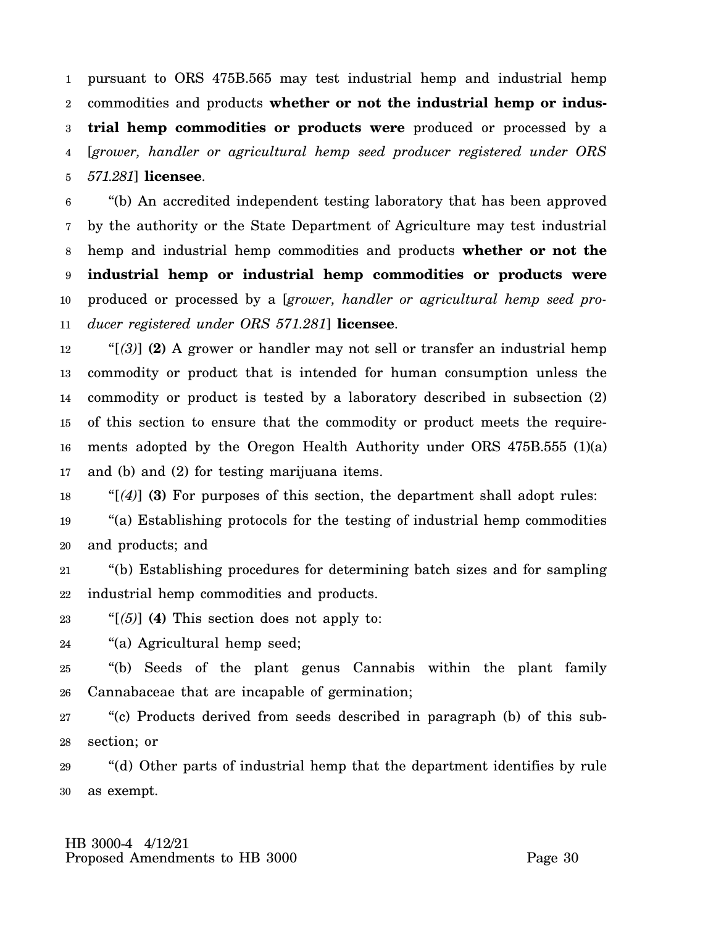1 2 3 4 5 pursuant to ORS 475B.565 may test industrial hemp and industrial hemp commodities and products **whether or not the industrial hemp or industrial hemp commodities or products were** produced or processed by a [*grower, handler or agricultural hemp seed producer registered under ORS 571.281*] **licensee**.

6 7 8 9 10 11 "(b) An accredited independent testing laboratory that has been approved by the authority or the State Department of Agriculture may test industrial hemp and industrial hemp commodities and products **whether or not the industrial hemp or industrial hemp commodities or products were** produced or processed by a [*grower, handler or agricultural hemp seed producer registered under ORS 571.281*] **licensee**.

12 13 14 15 16 17 "[*(3)*] **(2)** A grower or handler may not sell or transfer an industrial hemp commodity or product that is intended for human consumption unless the commodity or product is tested by a laboratory described in subsection (2) of this section to ensure that the commodity or product meets the requirements adopted by the Oregon Health Authority under ORS 475B.555 (1)(a) and (b) and (2) for testing marijuana items.

18 "[*(4)*] **(3)** For purposes of this section, the department shall adopt rules:

19 20 "(a) Establishing protocols for the testing of industrial hemp commodities and products; and

21 22 "(b) Establishing procedures for determining batch sizes and for sampling industrial hemp commodities and products.

23 "[*(5)*] **(4)** This section does not apply to:

24 "(a) Agricultural hemp seed;

25 26 "(b) Seeds of the plant genus Cannabis within the plant family Cannabaceae that are incapable of germination;

27 28 "(c) Products derived from seeds described in paragraph (b) of this subsection; or

29 30 "(d) Other parts of industrial hemp that the department identifies by rule as exempt.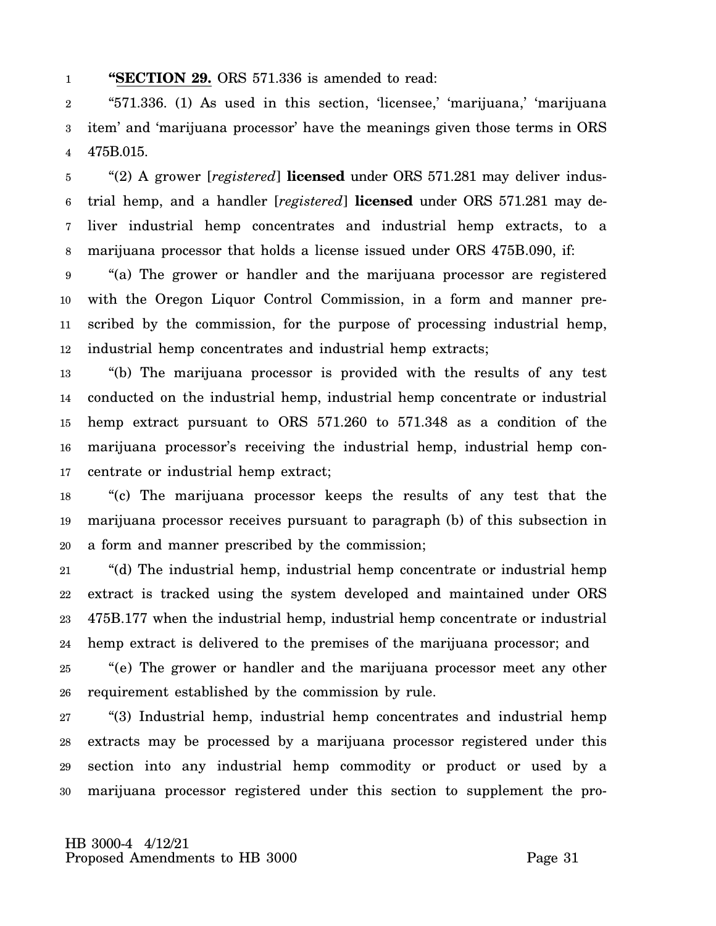#### 1 **"SECTION 29.** ORS 571.336 is amended to read:

2 3 4 "571.336. (1) As used in this section, 'licensee,' 'marijuana,' 'marijuana item' and 'marijuana processor' have the meanings given those terms in ORS 475B.015.

5 6 7 8 "(2) A grower [*registered*] **licensed** under ORS 571.281 may deliver industrial hemp, and a handler [*registered*] **licensed** under ORS 571.281 may deliver industrial hemp concentrates and industrial hemp extracts, to a marijuana processor that holds a license issued under ORS 475B.090, if:

9 10 11 12 "(a) The grower or handler and the marijuana processor are registered with the Oregon Liquor Control Commission, in a form and manner prescribed by the commission, for the purpose of processing industrial hemp, industrial hemp concentrates and industrial hemp extracts;

13 14 15 16 17 "(b) The marijuana processor is provided with the results of any test conducted on the industrial hemp, industrial hemp concentrate or industrial hemp extract pursuant to ORS 571.260 to 571.348 as a condition of the marijuana processor's receiving the industrial hemp, industrial hemp concentrate or industrial hemp extract;

18 19 20 "(c) The marijuana processor keeps the results of any test that the marijuana processor receives pursuant to paragraph (b) of this subsection in a form and manner prescribed by the commission;

21 22 23 24 "(d) The industrial hemp, industrial hemp concentrate or industrial hemp extract is tracked using the system developed and maintained under ORS 475B.177 when the industrial hemp, industrial hemp concentrate or industrial hemp extract is delivered to the premises of the marijuana processor; and

25 26 "(e) The grower or handler and the marijuana processor meet any other requirement established by the commission by rule.

27 28 29 30 "(3) Industrial hemp, industrial hemp concentrates and industrial hemp extracts may be processed by a marijuana processor registered under this section into any industrial hemp commodity or product or used by a marijuana processor registered under this section to supplement the pro-

 HB 3000-4 4/12/21 Proposed Amendments to HB 3000 Page 31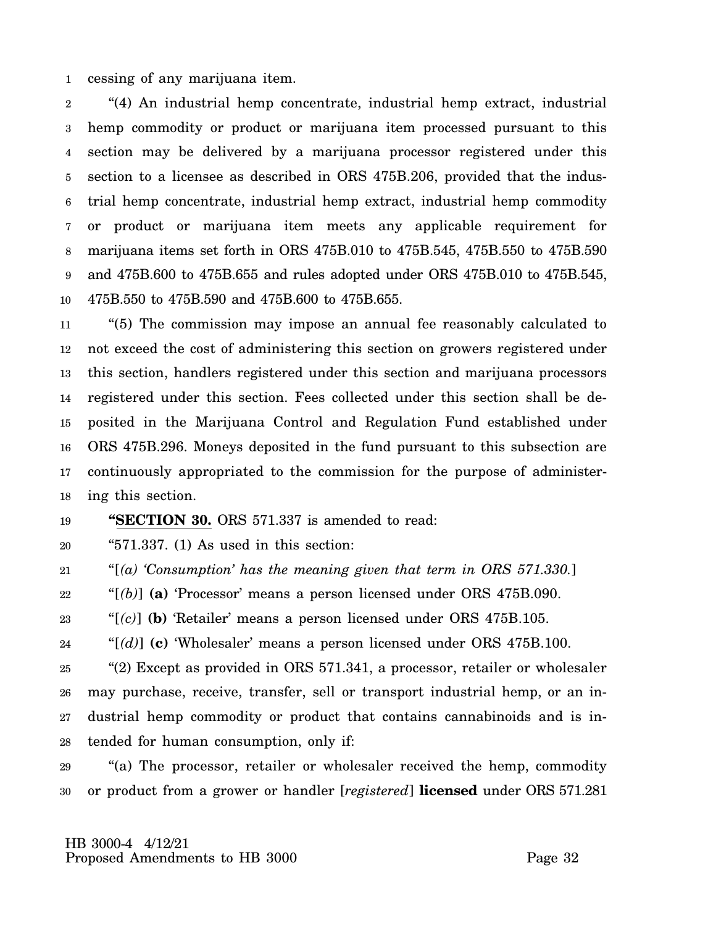1 cessing of any marijuana item.

2 3 4 5 6 7 8 9 10 "(4) An industrial hemp concentrate, industrial hemp extract, industrial hemp commodity or product or marijuana item processed pursuant to this section may be delivered by a marijuana processor registered under this section to a licensee as described in ORS 475B.206, provided that the industrial hemp concentrate, industrial hemp extract, industrial hemp commodity or product or marijuana item meets any applicable requirement for marijuana items set forth in ORS 475B.010 to 475B.545, 475B.550 to 475B.590 and 475B.600 to 475B.655 and rules adopted under ORS 475B.010 to 475B.545, 475B.550 to 475B.590 and 475B.600 to 475B.655.

11 12 13 14 15 16 17 18 "(5) The commission may impose an annual fee reasonably calculated to not exceed the cost of administering this section on growers registered under this section, handlers registered under this section and marijuana processors registered under this section. Fees collected under this section shall be deposited in the Marijuana Control and Regulation Fund established under ORS 475B.296. Moneys deposited in the fund pursuant to this subsection are continuously appropriated to the commission for the purpose of administering this section.

#### 19 **"SECTION 30.** ORS 571.337 is amended to read:

20 "571.337. (1) As used in this section:

21 "[*(a) 'Consumption' has the meaning given that term in ORS 571.330.*]

22 "[*(b)*] **(a)** 'Processor' means a person licensed under ORS 475B.090.

23 "[*(c)*] **(b)** 'Retailer' means a person licensed under ORS 475B.105.

24 "[*(d)*] **(c)** 'Wholesaler' means a person licensed under ORS 475B.100.

25 26 27 28 "(2) Except as provided in ORS 571.341, a processor, retailer or wholesaler may purchase, receive, transfer, sell or transport industrial hemp, or an industrial hemp commodity or product that contains cannabinoids and is intended for human consumption, only if:

29 30 "(a) The processor, retailer or wholesaler received the hemp, commodity or product from a grower or handler [*registered*] **licensed** under ORS 571.281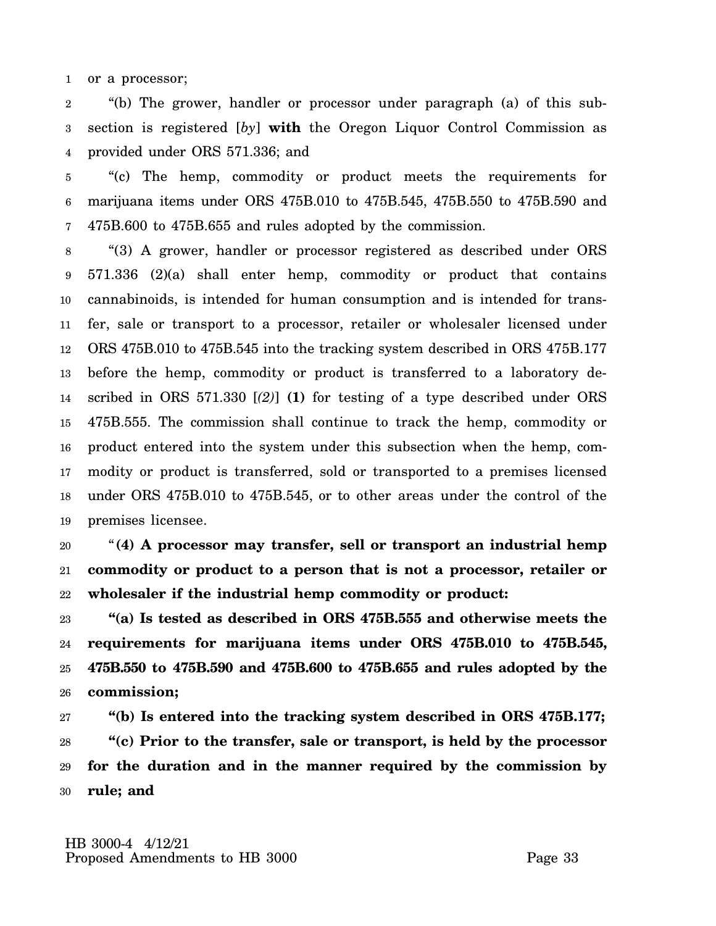1 or a processor;

2 3 4 "(b) The grower, handler or processor under paragraph (a) of this subsection is registered [*by*] **with** the Oregon Liquor Control Commission as provided under ORS 571.336; and

5 6 7 "(c) The hemp, commodity or product meets the requirements for marijuana items under ORS 475B.010 to 475B.545, 475B.550 to 475B.590 and 475B.600 to 475B.655 and rules adopted by the commission.

8 9 10 11 12 13 14 15 16 17 18 19 "(3) A grower, handler or processor registered as described under ORS 571.336 (2)(a) shall enter hemp, commodity or product that contains cannabinoids, is intended for human consumption and is intended for transfer, sale or transport to a processor, retailer or wholesaler licensed under ORS 475B.010 to 475B.545 into the tracking system described in ORS 475B.177 before the hemp, commodity or product is transferred to a laboratory described in ORS 571.330 [*(2)*] **(1)** for testing of a type described under ORS 475B.555. The commission shall continue to track the hemp, commodity or product entered into the system under this subsection when the hemp, commodity or product is transferred, sold or transported to a premises licensed under ORS 475B.010 to 475B.545, or to other areas under the control of the premises licensee.

20 21 22 "**(4) A processor may transfer, sell or transport an industrial hemp commodity or product to a person that is not a processor, retailer or wholesaler if the industrial hemp commodity or product:**

23 24 25 26 **"(a) Is tested as described in ORS 475B.555 and otherwise meets the requirements for marijuana items under ORS 475B.010 to 475B.545, 475B.550 to 475B.590 and 475B.600 to 475B.655 and rules adopted by the commission;**

27 28 29 30 **"(b) Is entered into the tracking system described in ORS 475B.177; "(c) Prior to the transfer, sale or transport, is held by the processor for the duration and in the manner required by the commission by rule; and**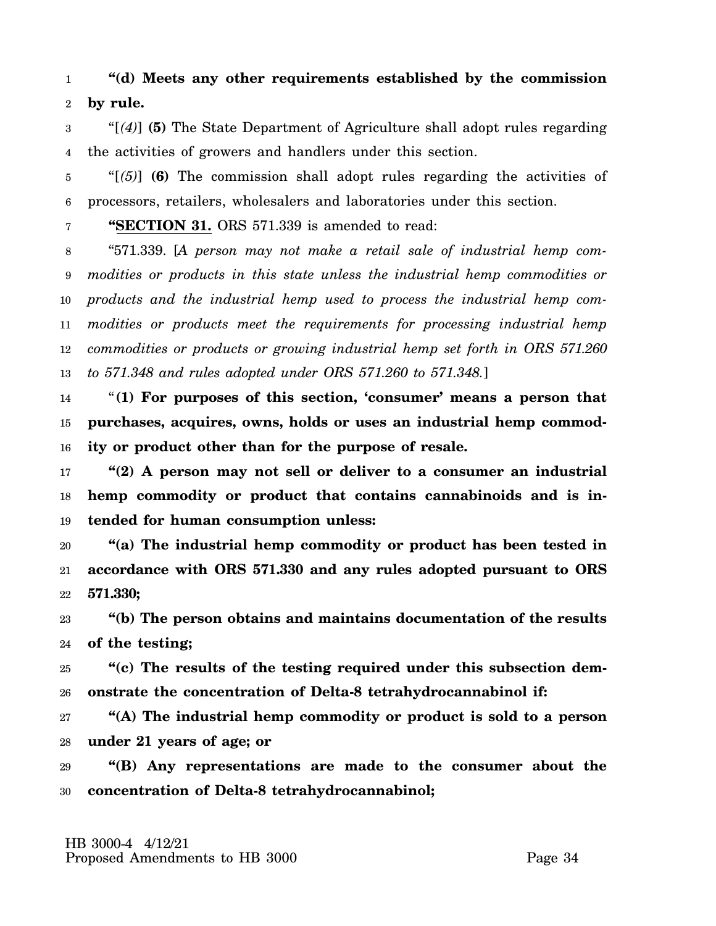### 1 2 **"(d) Meets any other requirements established by the commission by rule.**

3 4 "[*(4)*] **(5)** The State Department of Agriculture shall adopt rules regarding the activities of growers and handlers under this section.

5 6 "[*(5)*] **(6)** The commission shall adopt rules regarding the activities of processors, retailers, wholesalers and laboratories under this section.

7 **"SECTION 31.** ORS 571.339 is amended to read:

8 9 10 11 12 13 "571.339. [*A person may not make a retail sale of industrial hemp commodities or products in this state unless the industrial hemp commodities or products and the industrial hemp used to process the industrial hemp commodities or products meet the requirements for processing industrial hemp commodities or products or growing industrial hemp set forth in ORS 571.260 to 571.348 and rules adopted under ORS 571.260 to 571.348.*]

14 15 16 "**(1) For purposes of this section, 'consumer' means a person that purchases, acquires, owns, holds or uses an industrial hemp commodity or product other than for the purpose of resale.**

17 18 19 **"(2) A person may not sell or deliver to a consumer an industrial hemp commodity or product that contains cannabinoids and is intended for human consumption unless:**

20 21 22 **"(a) The industrial hemp commodity or product has been tested in accordance with ORS 571.330 and any rules adopted pursuant to ORS 571.330;**

23 24 **"(b) The person obtains and maintains documentation of the results of the testing;**

25 26 **"(c) The results of the testing required under this subsection demonstrate the concentration of Delta-8 tetrahydrocannabinol if:**

27 28 **"(A) The industrial hemp commodity or product is sold to a person under 21 years of age; or**

29 30 **"(B) Any representations are made to the consumer about the concentration of Delta-8 tetrahydrocannabinol;**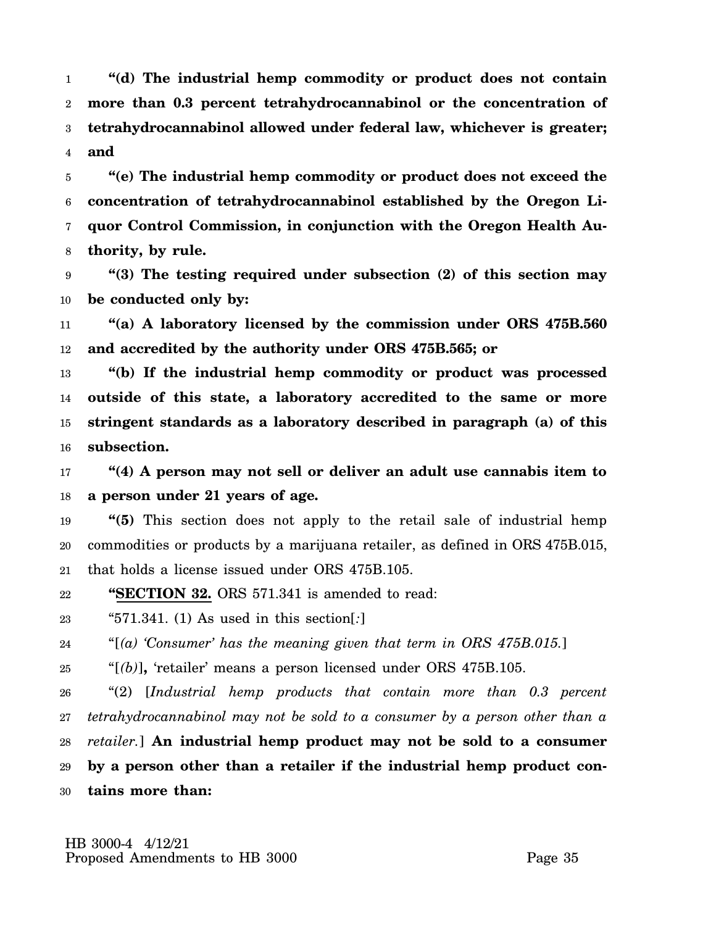1 2 3 4 **"(d) The industrial hemp commodity or product does not contain more than 0.3 percent tetrahydrocannabinol or the concentration of tetrahydrocannabinol allowed under federal law, whichever is greater; and**

5 6 7 8 **"(e) The industrial hemp commodity or product does not exceed the concentration of tetrahydrocannabinol established by the Oregon Liquor Control Commission, in conjunction with the Oregon Health Authority, by rule.**

9 10 **"(3) The testing required under subsection (2) of this section may be conducted only by:**

11 12 **"(a) A laboratory licensed by the commission under ORS 475B.560 and accredited by the authority under ORS 475B.565; or**

13 14 15 16 **"(b) If the industrial hemp commodity or product was processed outside of this state, a laboratory accredited to the same or more stringent standards as a laboratory described in paragraph (a) of this subsection.**

17 18 **"(4) A person may not sell or deliver an adult use cannabis item to a person under 21 years of age.**

19 20 21 **"(5)** This section does not apply to the retail sale of industrial hemp commodities or products by a marijuana retailer, as defined in ORS 475B.015, that holds a license issued under ORS 475B.105.

22 **"SECTION 32.** ORS 571.341 is amended to read:

23 "571.341. (1) As used in this section[*:*]

24 "[*(a) 'Consumer' has the meaning given that term in ORS 475B.015.*]

25 "[*(b)*]**,** 'retailer' means a person licensed under ORS 475B.105.

26 27 28 29 30 "(2) [*Industrial hemp products that contain more than 0.3 percent tetrahydrocannabinol may not be sold to a consumer by a person other than a retailer.*] **An industrial hemp product may not be sold to a consumer by a person other than a retailer if the industrial hemp product contains more than:**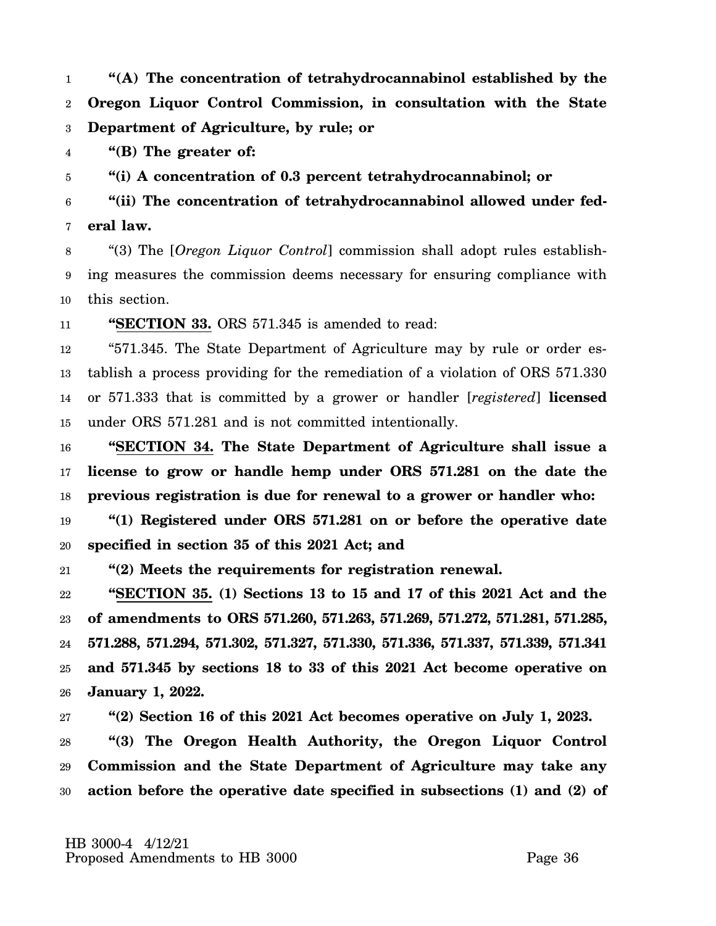1 2 3 **"(A) The concentration of tetrahydrocannabinol established by the Oregon Liquor Control Commission, in consultation with the State Department of Agriculture, by rule; or**

4 **"(B) The greater of:**

5 **"(i) A concentration of 0.3 percent tetrahydrocannabinol; or**

6 7 **"(ii) The concentration of tetrahydrocannabinol allowed under federal law.**

8 9 10 "(3) The [*Oregon Liquor Control*] commission shall adopt rules establishing measures the commission deems necessary for ensuring compliance with this section.

11 **"SECTION 33.** ORS 571.345 is amended to read:

12 13 14 15 "571.345. The State Department of Agriculture may by rule or order establish a process providing for the remediation of a violation of ORS 571.330 or 571.333 that is committed by a grower or handler [*registered*] **licensed** under ORS 571.281 and is not committed intentionally.

16 17 18 **"SECTION 34. The State Department of Agriculture shall issue a license to grow or handle hemp under ORS 571.281 on the date the previous registration is due for renewal to a grower or handler who:**

19 20 **"(1) Registered under ORS 571.281 on or before the operative date specified in section 35 of this 2021 Act; and**

21 **"(2) Meets the requirements for registration renewal.**

22 23 24 25 26 **"SECTION 35. (1) Sections 13 to 15 and 17 of this 2021 Act and the of amendments to ORS 571.260, 571.263, 571.269, 571.272, 571.281, 571.285, 571.288, 571.294, 571.302, 571.327, 571.330, 571.336, 571.337, 571.339, 571.341 and 571.345 by sections 18 to 33 of this 2021 Act become operative on January 1, 2022.**

27 **"(2) Section 16 of this 2021 Act becomes operative on July 1, 2023.**

28 29 30 **"(3) The Oregon Health Authority, the Oregon Liquor Control Commission and the State Department of Agriculture may take any action before the operative date specified in subsections (1) and (2) of**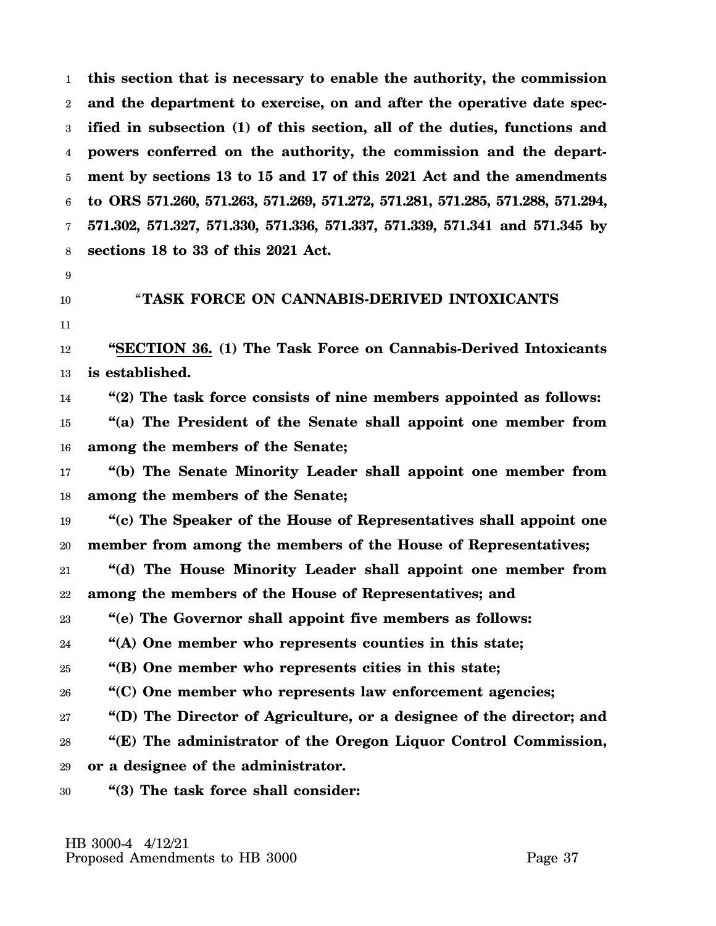1 2 3 4 5 6 7 8 **this section that is necessary to enable the authority, the commission and the department to exercise, on and after the operative date specified in subsection (1) of this section, all of the duties, functions and powers conferred on the authority, the commission and the department by sections 13 to 15 and 17 of this 2021 Act and the amendments to ORS 571.260, 571.263, 571.269, 571.272, 571.281, 571.285, 571.288, 571.294, 571.302, 571.327, 571.330, 571.336, 571.337, 571.339, 571.341 and 571.345 by sections 18 to 33 of this 2021 Act.**

- 9
- 10

## "**TASK FORCE ON CANNABIS-DERIVED INTOXICANTS**

11

12 13 **"SECTION 36. (1) The Task Force on Cannabis-Derived Intoxicants is established.**

14 **"(2) The task force consists of nine members appointed as follows:**

15 16 **"(a) The President of the Senate shall appoint one member from among the members of the Senate;**

17 18 **"(b) The Senate Minority Leader shall appoint one member from among the members of the Senate;**

19 20 **"(c) The Speaker of the House of Representatives shall appoint one member from among the members of the House of Representatives;**

21 22 **"(d) The House Minority Leader shall appoint one member from among the members of the House of Representatives; and**

23 **"(e) The Governor shall appoint five members as follows:**

24 **"(A) One member who represents counties in this state;**

25 **"(B) One member who represents cities in this state;**

26 **"(C) One member who represents law enforcement agencies;**

27 **"(D) The Director of Agriculture, or a designee of the director; and**

28 29 **"(E) The administrator of the Oregon Liquor Control Commission, or a designee of the administrator.**

30 **"(3) The task force shall consider:**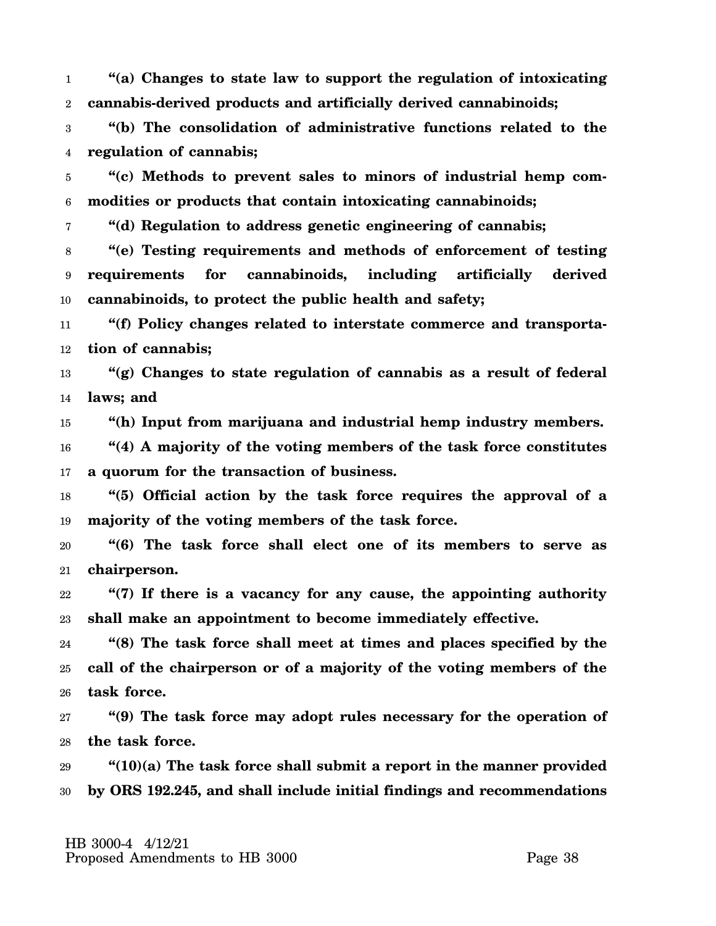1 2 **"(a) Changes to state law to support the regulation of intoxicating cannabis-derived products and artificially derived cannabinoids;**

3 4 **"(b) The consolidation of administrative functions related to the regulation of cannabis;**

5 6 **"(c) Methods to prevent sales to minors of industrial hemp commodities or products that contain intoxicating cannabinoids;**

7 **"(d) Regulation to address genetic engineering of cannabis;**

8 9 10 **"(e) Testing requirements and methods of enforcement of testing requirements for cannabinoids, including artificially derived cannabinoids, to protect the public health and safety;**

11 12 **"(f) Policy changes related to interstate commerce and transportation of cannabis;**

13 14 **"(g) Changes to state regulation of cannabis as a result of federal laws; and**

15 **"(h) Input from marijuana and industrial hemp industry members.**

16 17 **"(4) A majority of the voting members of the task force constitutes a quorum for the transaction of business.**

18 19 **"(5) Official action by the task force requires the approval of a majority of the voting members of the task force.**

20 21 **"(6) The task force shall elect one of its members to serve as chairperson.**

22 23 **"(7) If there is a vacancy for any cause, the appointing authority shall make an appointment to become immediately effective.**

24 25 26 **"(8) The task force shall meet at times and places specified by the call of the chairperson or of a majority of the voting members of the task force.**

27 28 **"(9) The task force may adopt rules necessary for the operation of the task force.**

29 30 **"(10)(a) The task force shall submit a report in the manner provided by ORS 192.245, and shall include initial findings and recommendations**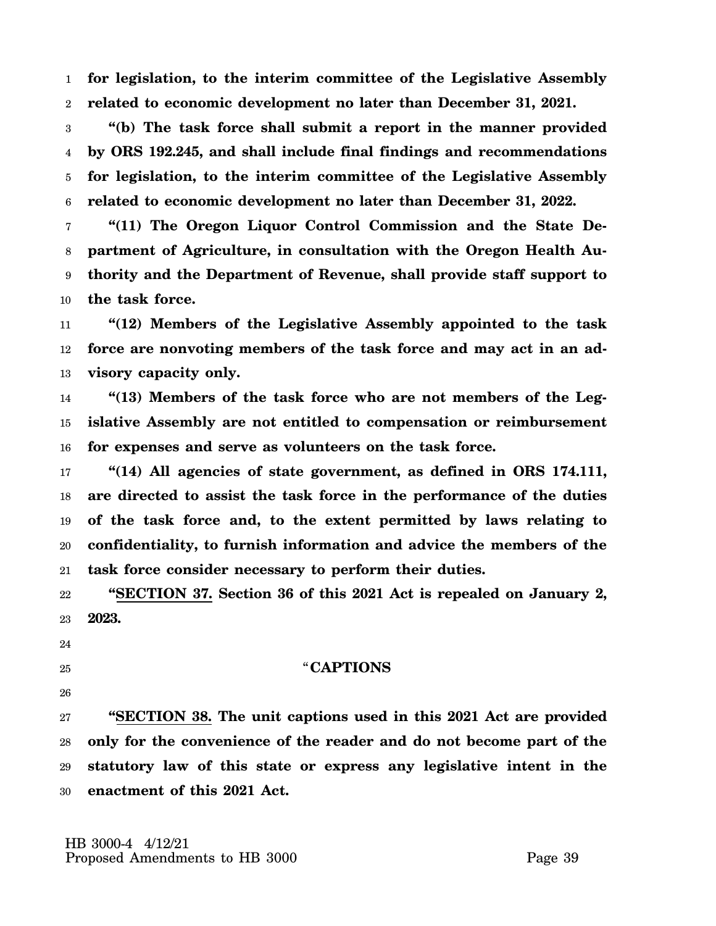1 2 **for legislation, to the interim committee of the Legislative Assembly related to economic development no later than December 31, 2021.**

3 4 5 6 **"(b) The task force shall submit a report in the manner provided by ORS 192.245, and shall include final findings and recommendations for legislation, to the interim committee of the Legislative Assembly related to economic development no later than December 31, 2022.**

7 8 9 10 **"(11) The Oregon Liquor Control Commission and the State Department of Agriculture, in consultation with the Oregon Health Authority and the Department of Revenue, shall provide staff support to the task force.**

11 12 13 **"(12) Members of the Legislative Assembly appointed to the task force are nonvoting members of the task force and may act in an advisory capacity only.**

14 15 16 **"(13) Members of the task force who are not members of the Legislative Assembly are not entitled to compensation or reimbursement for expenses and serve as volunteers on the task force.**

17 18 19 20 21 **"(14) All agencies of state government, as defined in ORS 174.111, are directed to assist the task force in the performance of the duties of the task force and, to the extent permitted by laws relating to confidentiality, to furnish information and advice the members of the task force consider necessary to perform their duties.**

22 23 **"SECTION 37. Section 36 of this 2021 Act is repealed on January 2, 2023.**

- 24
- 25

## "**CAPTIONS**

26

27 28 29 30 **"SECTION 38. The unit captions used in this 2021 Act are provided only for the convenience of the reader and do not become part of the statutory law of this state or express any legislative intent in the enactment of this 2021 Act.**